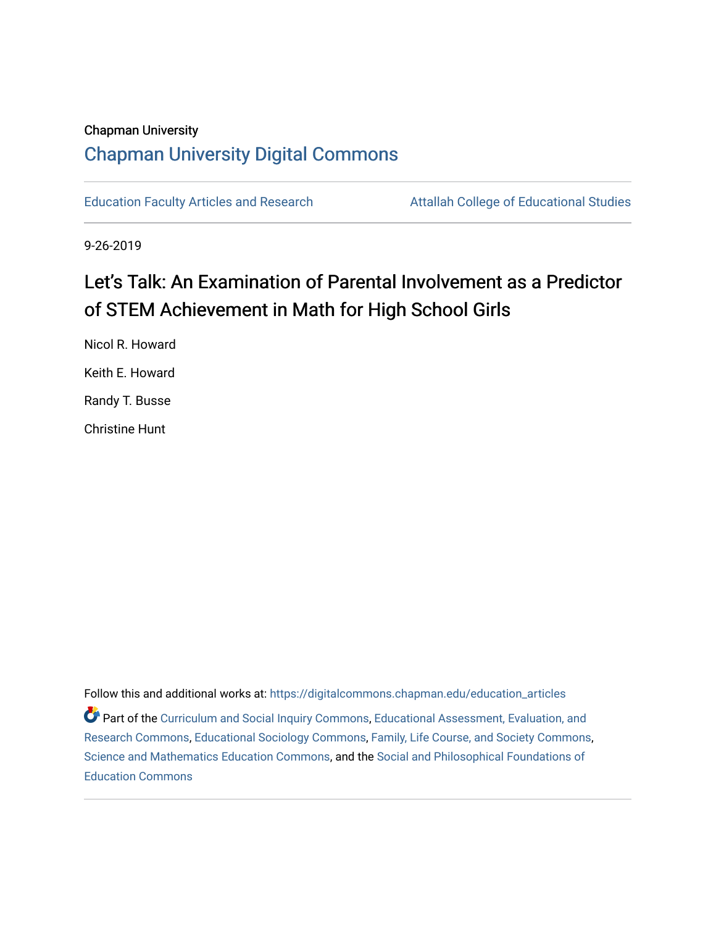# Chapman University [Chapman University Digital Commons](https://digitalcommons.chapman.edu/)

[Education Faculty Articles and Research](https://digitalcommons.chapman.edu/education_articles) **Attallah College of Educational Studies** 

9-26-2019

# Let's Talk: An Examination of Parental Involvement as a Predictor of STEM Achievement in Math for High School Girls

Nicol R. Howard Keith E. Howard Randy T. Busse Christine Hunt

Follow this and additional works at: [https://digitalcommons.chapman.edu/education\\_articles](https://digitalcommons.chapman.edu/education_articles?utm_source=digitalcommons.chapman.edu%2Feducation_articles%2F300&utm_medium=PDF&utm_campaign=PDFCoverPages) Part of the [Curriculum and Social Inquiry Commons,](http://network.bepress.com/hgg/discipline/1038?utm_source=digitalcommons.chapman.edu%2Feducation_articles%2F300&utm_medium=PDF&utm_campaign=PDFCoverPages) [Educational Assessment, Evaluation, and](http://network.bepress.com/hgg/discipline/796?utm_source=digitalcommons.chapman.edu%2Feducation_articles%2F300&utm_medium=PDF&utm_campaign=PDFCoverPages)  [Research Commons,](http://network.bepress.com/hgg/discipline/796?utm_source=digitalcommons.chapman.edu%2Feducation_articles%2F300&utm_medium=PDF&utm_campaign=PDFCoverPages) [Educational Sociology Commons](http://network.bepress.com/hgg/discipline/1071?utm_source=digitalcommons.chapman.edu%2Feducation_articles%2F300&utm_medium=PDF&utm_campaign=PDFCoverPages), [Family, Life Course, and Society Commons,](http://network.bepress.com/hgg/discipline/419?utm_source=digitalcommons.chapman.edu%2Feducation_articles%2F300&utm_medium=PDF&utm_campaign=PDFCoverPages) [Science and Mathematics Education Commons](http://network.bepress.com/hgg/discipline/800?utm_source=digitalcommons.chapman.edu%2Feducation_articles%2F300&utm_medium=PDF&utm_campaign=PDFCoverPages), and the [Social and Philosophical Foundations of](http://network.bepress.com/hgg/discipline/799?utm_source=digitalcommons.chapman.edu%2Feducation_articles%2F300&utm_medium=PDF&utm_campaign=PDFCoverPages)  [Education Commons](http://network.bepress.com/hgg/discipline/799?utm_source=digitalcommons.chapman.edu%2Feducation_articles%2F300&utm_medium=PDF&utm_campaign=PDFCoverPages)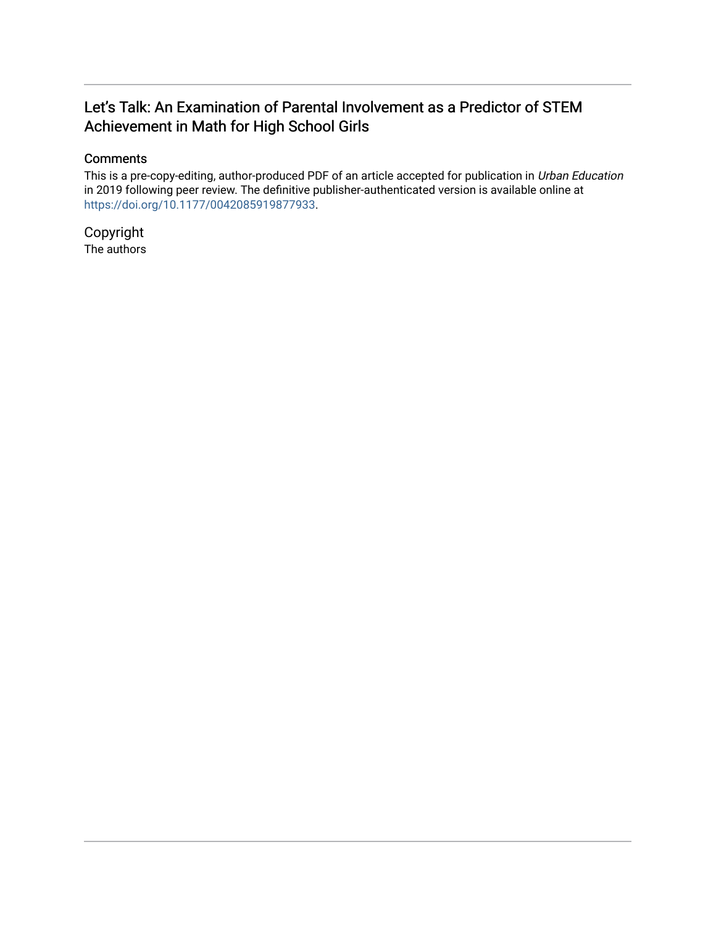# Let's Talk: An Examination of Parental Involvement as a Predictor of STEM Achievement in Math for High School Girls

# **Comments**

This is a pre-copy-editing, author-produced PDF of an article accepted for publication in Urban Education in 2019 following peer review. The definitive publisher-authenticated version is available online at [https://doi.org/10.1177/0042085919877933.](https://doi.org/10.1177/0042085919877933)

Copyright The authors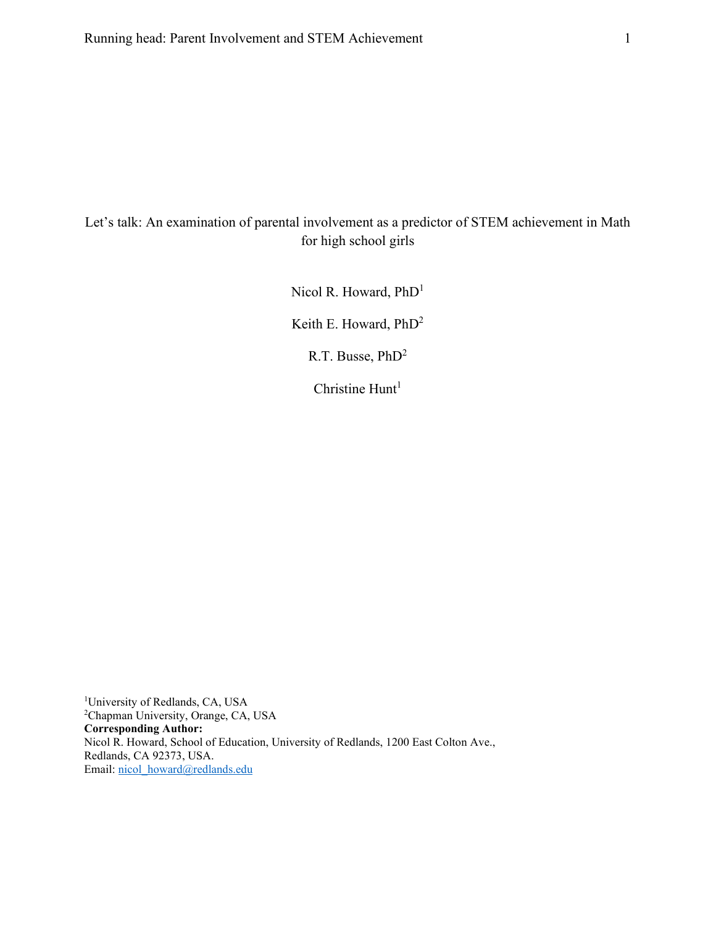# Let's talk: An examination of parental involvement as a predictor of STEM achievement in Math for high school girls

Nicol R. Howard, PhD<sup>1</sup>

Keith E. Howard, PhD2

R.T. Busse, PhD2

Christine  $Hunt<sup>1</sup>$ 

<sup>1</sup>University of Redlands, CA, USA 2 Chapman University, Orange, CA, USA **Corresponding Author:** Nicol R. Howard, School of Education, University of Redlands, 1200 East Colton Ave., Redlands, CA 92373, USA. Email: [nicol\\_howard@redlands.edu](mailto:nicol_howard@redlands.edu)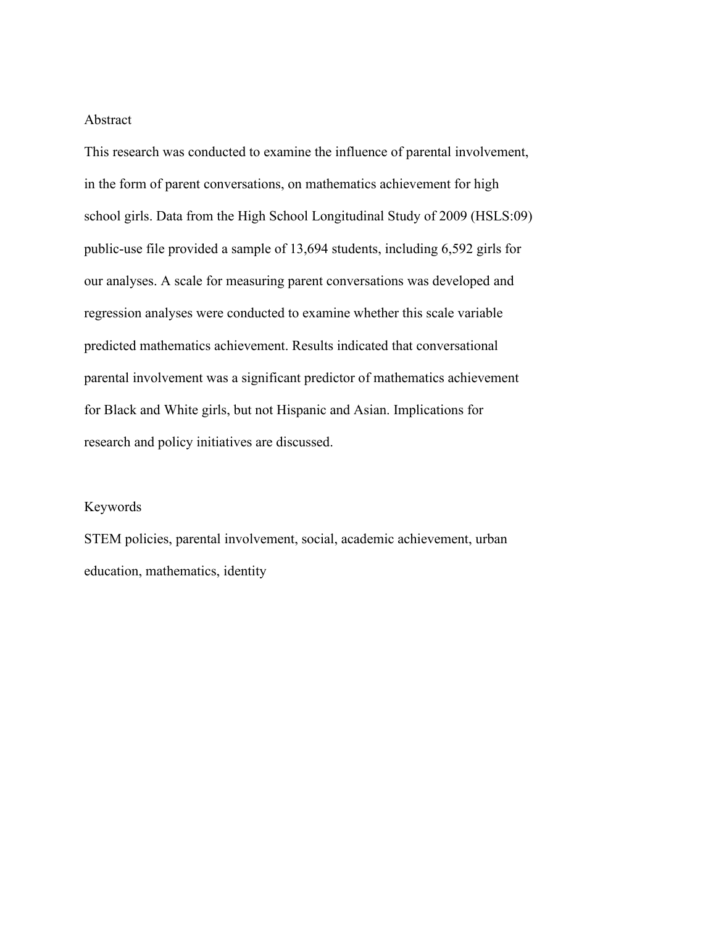#### Abstract

This research was conducted to examine the influence of parental involvement, in the form of parent conversations, on mathematics achievement for high school girls. Data from the High School Longitudinal Study of 2009 (HSLS:09) public-use file provided a sample of 13,694 students, including 6,592 girls for our analyses. A scale for measuring parent conversations was developed and regression analyses were conducted to examine whether this scale variable predicted mathematics achievement. Results indicated that conversational parental involvement was a significant predictor of mathematics achievement for Black and White girls, but not Hispanic and Asian. Implications for research and policy initiatives are discussed.

# Keywords

STEM policies, parental involvement, social, academic achievement, urban education, mathematics, identity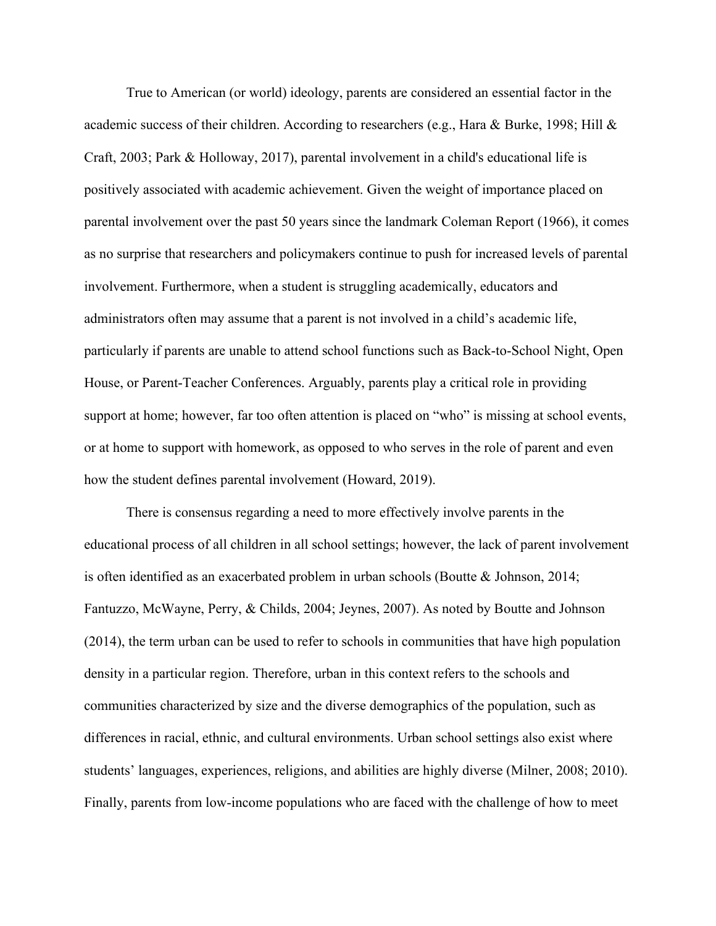True to American (or world) ideology, parents are considered an essential factor in the academic success of their children. According to researchers (e.g., Hara & Burke, 1998; Hill & Craft, 2003; Park & Holloway, 2017), parental involvement in a child's educational life is positively associated with academic achievement. Given the weight of importance placed on parental involvement over the past 50 years since the landmark Coleman Report (1966), it comes as no surprise that researchers and policymakers continue to push for increased levels of parental involvement. Furthermore, when a student is struggling academically, educators and administrators often may assume that a parent is not involved in a child's academic life, particularly if parents are unable to attend school functions such as Back-to-School Night, Open House, or Parent-Teacher Conferences. Arguably, parents play a critical role in providing support at home; however, far too often attention is placed on "who" is missing at school events, or at home to support with homework, as opposed to who serves in the role of parent and even how the student defines parental involvement (Howard, 2019).

There is consensus regarding a need to more effectively involve parents in the educational process of all children in all school settings; however, the lack of parent involvement is often identified as an exacerbated problem in urban schools (Boutte & Johnson, 2014; Fantuzzo, McWayne, Perry, & Childs, 2004; Jeynes, 2007). As noted by Boutte and Johnson (2014), the term urban can be used to refer to schools in communities that have high population density in a particular region. Therefore, urban in this context refers to the schools and communities characterized by size and the diverse demographics of the population, such as differences in racial, ethnic, and cultural environments. Urban school settings also exist where students' languages, experiences, religions, and abilities are highly diverse (Milner, 2008; 2010). Finally, parents from low-income populations who are faced with the challenge of how to meet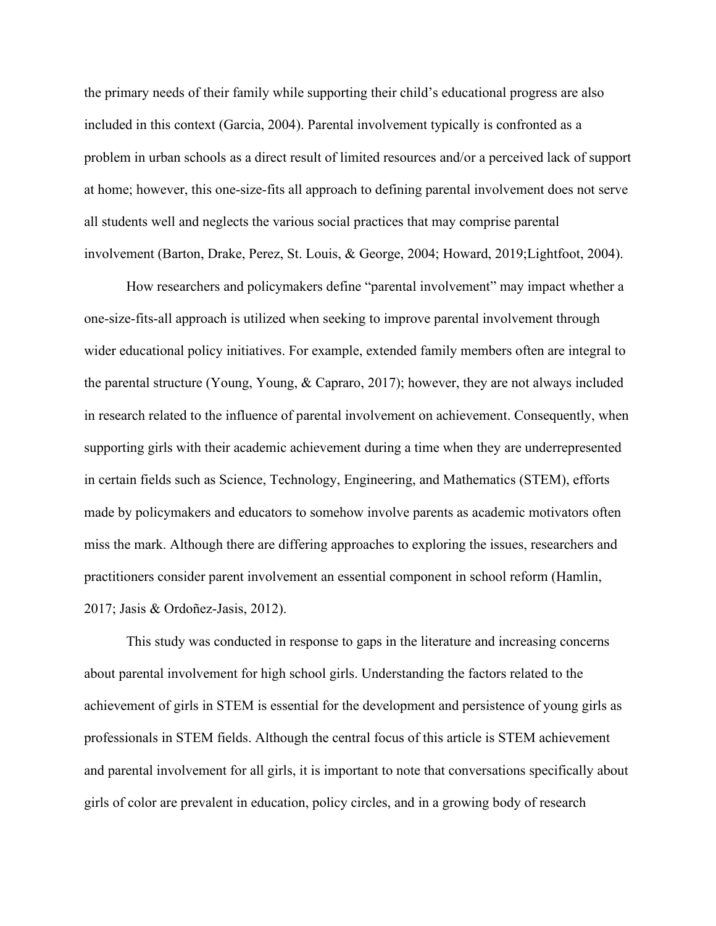the primary needs of their family while supporting their child's educational progress are also included in this context (Garcia, 2004). Parental involvement typically is confronted as a problem in urban schools as a direct result of limited resources and/or a perceived lack of support at home; however, this one-size-fits all approach to defining parental involvement does not serve all students well and neglects the various social practices that may comprise parental involvement (Barton, Drake, Perez, St. Louis, & George, 2004; Howard, 2019;Lightfoot, 2004).

How researchers and policymakers define "parental involvement" may impact whether a one-size-fits-all approach is utilized when seeking to improve parental involvement through wider educational policy initiatives. For example, extended family members often are integral to the parental structure (Young, Young, & Capraro, 2017); however, they are not always included in research related to the influence of parental involvement on achievement. Consequently, when supporting girls with their academic achievement during a time when they are underrepresented in certain fields such as Science, Technology, Engineering, and Mathematics (STEM), efforts made by policymakers and educators to somehow involve parents as academic motivators often miss the mark. Although there are differing approaches to exploring the issues, researchers and practitioners consider parent involvement an essential component in school reform (Hamlin, 2017; Jasis & Ordoñez-Jasis, 2012).

This study was conducted in response to gaps in the literature and increasing concerns about parental involvement for high school girls. Understanding the factors related to the achievement of girls in STEM is essential for the development and persistence of young girls as professionals in STEM fields. Although the central focus of this article is STEM achievement and parental involvement for all girls, it is important to note that conversations specifically about girls of color are prevalent in education, policy circles, and in a growing body of research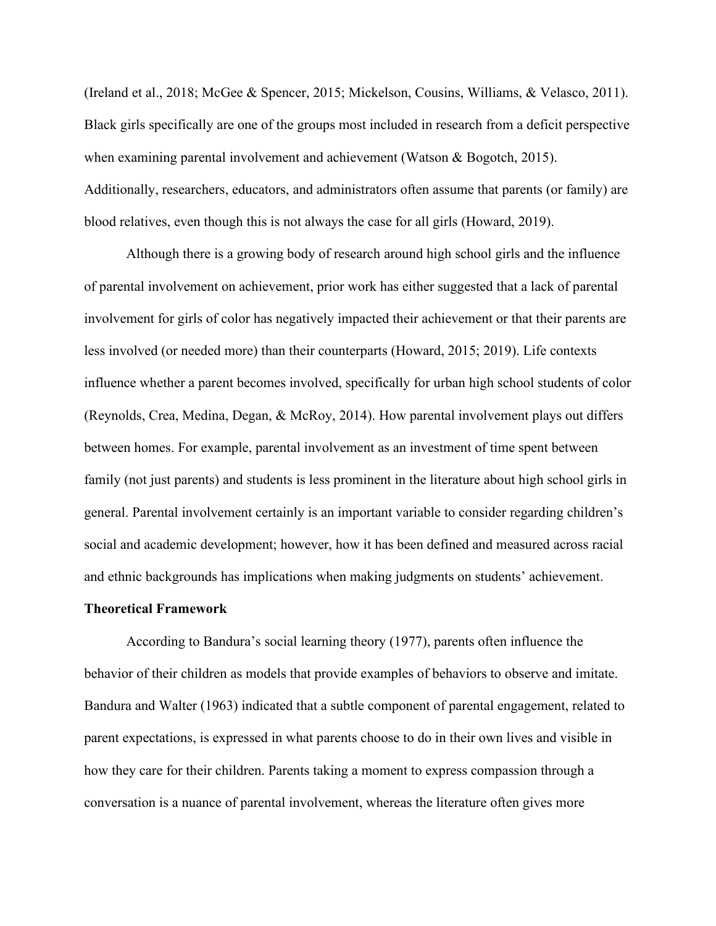(Ireland et al., 2018; McGee & Spencer, 2015; Mickelson, Cousins, Williams, & Velasco, 2011). Black girls specifically are one of the groups most included in research from a deficit perspective when examining parental involvement and achievement (Watson & Bogotch, 2015). Additionally, researchers, educators, and administrators often assume that parents (or family) are blood relatives, even though this is not always the case for all girls (Howard, 2019).

Although there is a growing body of research around high school girls and the influence of parental involvement on achievement, prior work has either suggested that a lack of parental involvement for girls of color has negatively impacted their achievement or that their parents are less involved (or needed more) than their counterparts (Howard, 2015; 2019). Life contexts influence whether a parent becomes involved, specifically for urban high school students of color (Reynolds, Crea, Medina, Degan, & McRoy, 2014). How parental involvement plays out differs between homes. For example, parental involvement as an investment of time spent between family (not just parents) and students is less prominent in the literature about high school girls in general. Parental involvement certainly is an important variable to consider regarding children's social and academic development; however, how it has been defined and measured across racial and ethnic backgrounds has implications when making judgments on students' achievement.

#### **Theoretical Framework**

According to Bandura's social learning theory (1977), parents often influence the behavior of their children as models that provide examples of behaviors to observe and imitate. Bandura and Walter (1963) indicated that a subtle component of parental engagement, related to parent expectations, is expressed in what parents choose to do in their own lives and visible in how they care for their children. Parents taking a moment to express compassion through a conversation is a nuance of parental involvement, whereas the literature often gives more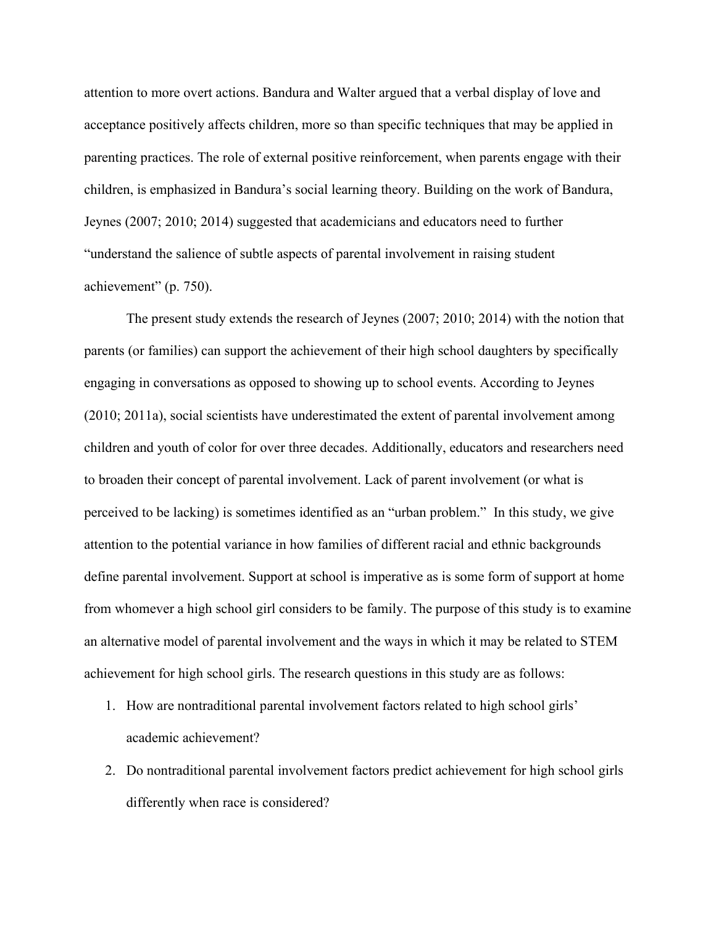attention to more overt actions. Bandura and Walter argued that a verbal display of love and acceptance positively affects children, more so than specific techniques that may be applied in parenting practices. The role of external positive reinforcement, when parents engage with their children, is emphasized in Bandura's social learning theory. Building on the work of Bandura, Jeynes (2007; 2010; 2014) suggested that academicians and educators need to further "understand the salience of subtle aspects of parental involvement in raising student achievement" (p. 750).

The present study extends the research of Jeynes (2007; 2010; 2014) with the notion that parents (or families) can support the achievement of their high school daughters by specifically engaging in conversations as opposed to showing up to school events. According to Jeynes (2010; 2011a), social scientists have underestimated the extent of parental involvement among children and youth of color for over three decades. Additionally, educators and researchers need to broaden their concept of parental involvement. Lack of parent involvement (or what is perceived to be lacking) is sometimes identified as an "urban problem." In this study, we give attention to the potential variance in how families of different racial and ethnic backgrounds define parental involvement. Support at school is imperative as is some form of support at home from whomever a high school girl considers to be family. The purpose of this study is to examine an alternative model of parental involvement and the ways in which it may be related to STEM achievement for high school girls. The research questions in this study are as follows:

- 1. How are nontraditional parental involvement factors related to high school girls' academic achievement?
- 2. Do nontraditional parental involvement factors predict achievement for high school girls differently when race is considered?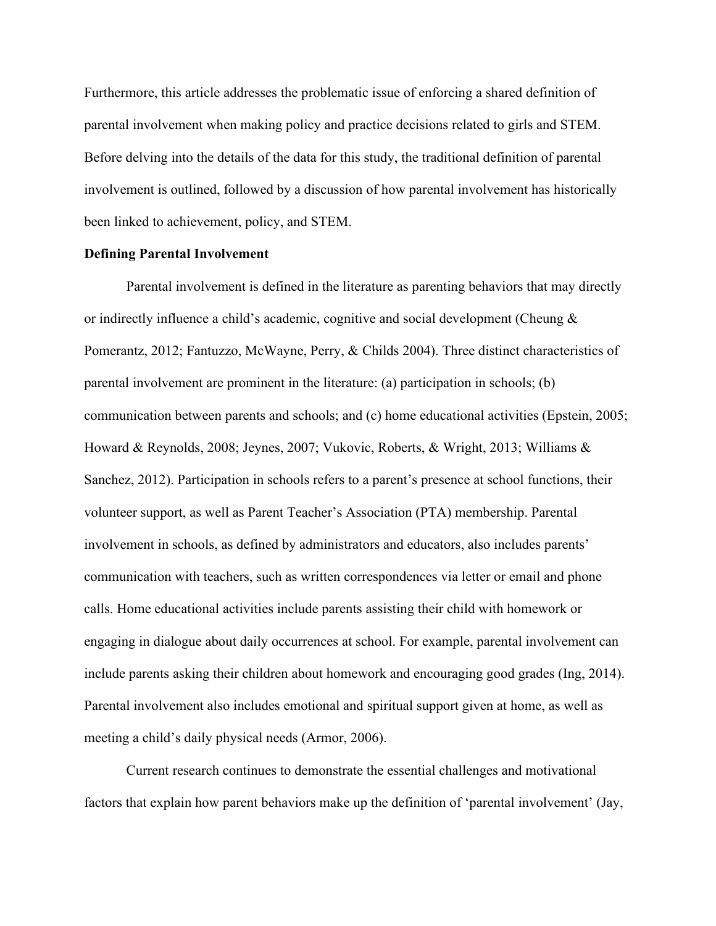Furthermore, this article addresses the problematic issue of enforcing a shared definition of parental involvement when making policy and practice decisions related to girls and STEM. Before delving into the details of the data for this study, the traditional definition of parental involvement is outlined, followed by a discussion of how parental involvement has historically been linked to achievement, policy, and STEM.

# **Defining Parental Involvement**

Parental involvement is defined in the literature as parenting behaviors that may directly or indirectly influence a child's academic, cognitive and social development (Cheung & Pomerantz, 2012; Fantuzzo, McWayne, Perry, & Childs 2004). Three distinct characteristics of parental involvement are prominent in the literature: (a) participation in schools; (b) communication between parents and schools; and (c) home educational activities (Epstein, 2005; Howard & Reynolds, 2008; Jeynes, 2007; Vukovic, Roberts, & Wright, 2013; Williams & Sanchez, 2012). Participation in schools refers to a parent's presence at school functions, their volunteer support, as well as Parent Teacher's Association (PTA) membership. Parental involvement in schools, as defined by administrators and educators, also includes parents' communication with teachers, such as written correspondences via letter or email and phone calls. Home educational activities include parents assisting their child with homework or engaging in dialogue about daily occurrences at school. For example, parental involvement can include parents asking their children about homework and encouraging good grades (Ing, 2014). Parental involvement also includes emotional and spiritual support given at home, as well as meeting a child's daily physical needs (Armor, 2006).

Current research continues to demonstrate the essential challenges and motivational factors that explain how parent behaviors make up the definition of 'parental involvement' (Jay,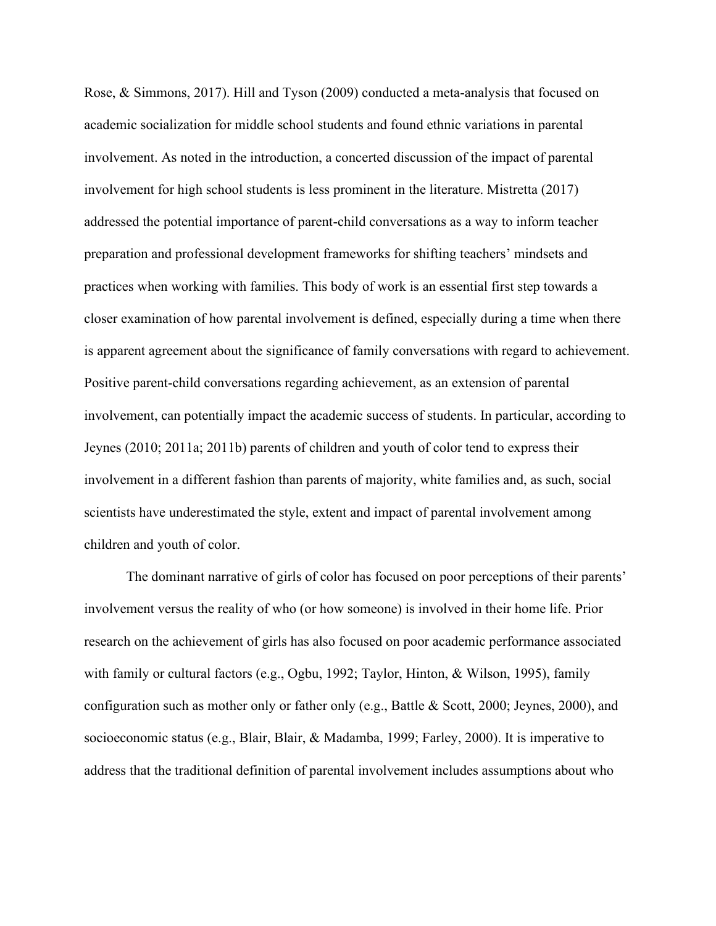Rose, & Simmons, 2017). Hill and Tyson (2009) conducted a meta-analysis that focused on academic socialization for middle school students and found ethnic variations in parental involvement. As noted in the introduction, a concerted discussion of the impact of parental involvement for high school students is less prominent in the literature. Mistretta (2017) addressed the potential importance of parent-child conversations as a way to inform teacher preparation and professional development frameworks for shifting teachers' mindsets and practices when working with families. This body of work is an essential first step towards a closer examination of how parental involvement is defined, especially during a time when there is apparent agreement about the significance of family conversations with regard to achievement. Positive parent-child conversations regarding achievement, as an extension of parental involvement, can potentially impact the academic success of students. In particular, according to Jeynes (2010; 2011a; 2011b) parents of children and youth of color tend to express their involvement in a different fashion than parents of majority, white families and, as such, social scientists have underestimated the style, extent and impact of parental involvement among children and youth of color.

The dominant narrative of girls of color has focused on poor perceptions of their parents' involvement versus the reality of who (or how someone) is involved in their home life. Prior research on the achievement of girls has also focused on poor academic performance associated with family or cultural factors (e.g., Ogbu, 1992; Taylor, Hinton, & Wilson, 1995), family configuration such as mother only or father only (e.g., Battle & Scott, 2000; Jeynes, 2000), and socioeconomic status (e.g., Blair, Blair, & Madamba, 1999; Farley, 2000). It is imperative to address that the traditional definition of parental involvement includes assumptions about who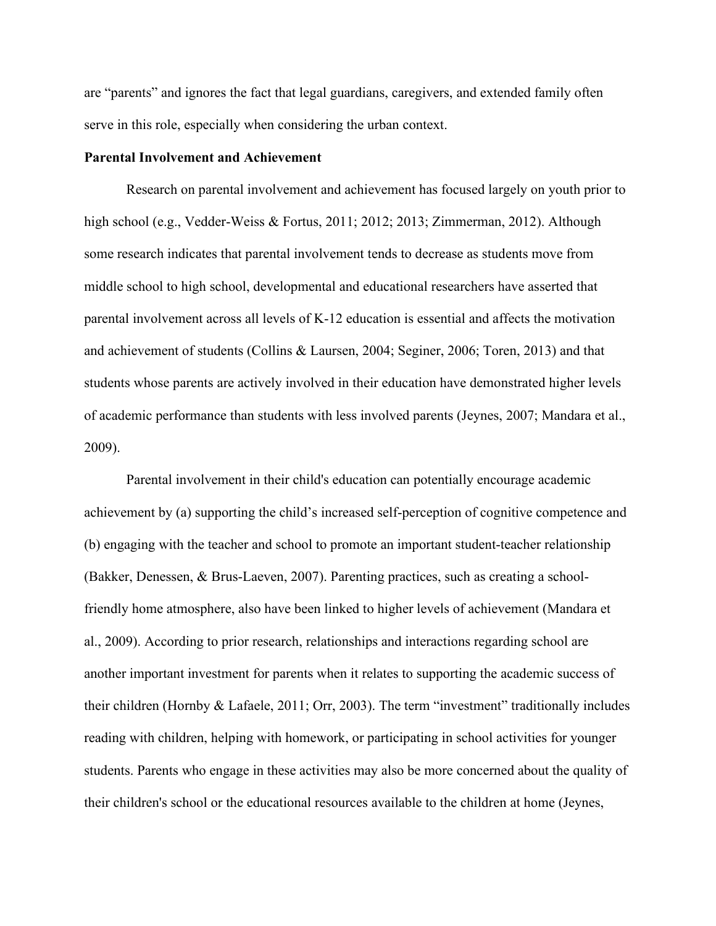are "parents" and ignores the fact that legal guardians, caregivers, and extended family often serve in this role, especially when considering the urban context.

# **Parental Involvement and Achievement**

Research on parental involvement and achievement has focused largely on youth prior to high school (e.g., Vedder-Weiss & Fortus, 2011; 2012; 2013; Zimmerman, 2012). Although some research indicates that parental involvement tends to decrease as students move from middle school to high school, developmental and educational researchers have asserted that parental involvement across all levels of K-12 education is essential and affects the motivation and achievement of students (Collins & Laursen, 2004; Seginer, 2006; Toren, 2013) and that students whose parents are actively involved in their education have demonstrated higher levels of academic performance than students with less involved parents (Jeynes, 2007; Mandara et al., 2009).

Parental involvement in their child's education can potentially encourage academic achievement by (a) supporting the child's increased self-perception of cognitive competence and (b) engaging with the teacher and school to promote an important student-teacher relationship (Bakker, Denessen, & Brus-Laeven, 2007). Parenting practices, such as creating a schoolfriendly home atmosphere, also have been linked to higher levels of achievement (Mandara et al., 2009). According to prior research, relationships and interactions regarding school are another important investment for parents when it relates to supporting the academic success of their children (Hornby & Lafaele, 2011; Orr, 2003). The term "investment" traditionally includes reading with children, helping with homework, or participating in school activities for younger students. Parents who engage in these activities may also be more concerned about the quality of their children's school or the educational resources available to the children at home (Jeynes,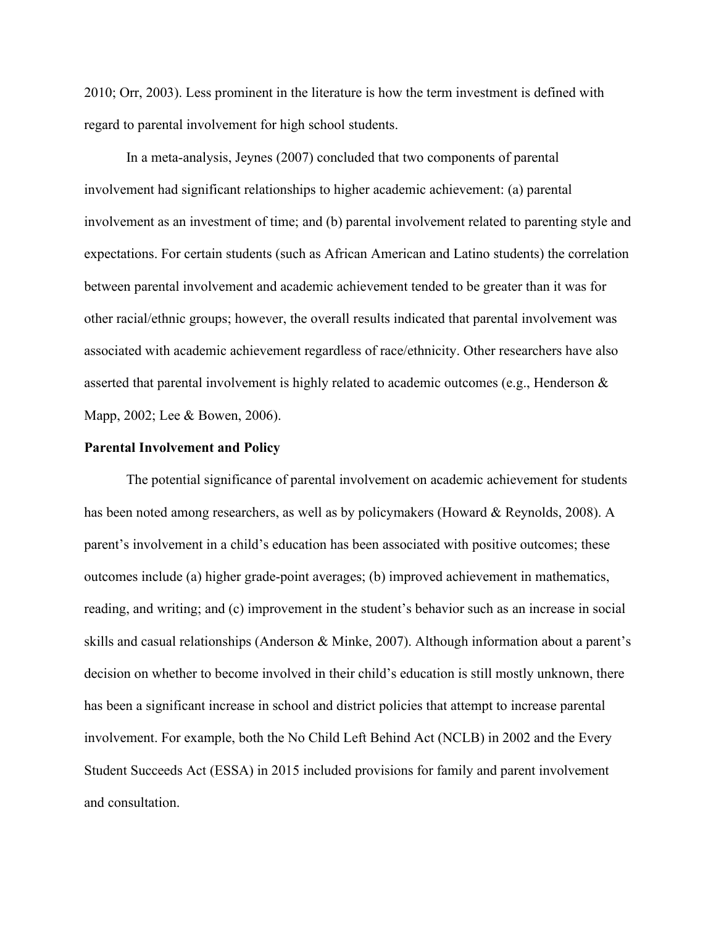2010; Orr, 2003). Less prominent in the literature is how the term investment is defined with regard to parental involvement for high school students.

In a meta-analysis, Jeynes (2007) concluded that two components of parental involvement had significant relationships to higher academic achievement: (a) parental involvement as an investment of time; and (b) parental involvement related to parenting style and expectations. For certain students (such as African American and Latino students) the correlation between parental involvement and academic achievement tended to be greater than it was for other racial/ethnic groups; however, the overall results indicated that parental involvement was associated with academic achievement regardless of race/ethnicity. Other researchers have also asserted that parental involvement is highly related to academic outcomes (e.g., Henderson & Mapp, 2002; Lee & Bowen, 2006).

#### **Parental Involvement and Policy**

The potential significance of parental involvement on academic achievement for students has been noted among researchers, as well as by policymakers (Howard & Reynolds, 2008). A parent's involvement in a child's education has been associated with positive outcomes; these outcomes include (a) higher grade-point averages; (b) improved achievement in mathematics, reading, and writing; and (c) improvement in the student's behavior such as an increase in social skills and casual relationships (Anderson & Minke, 2007). Although information about a parent's decision on whether to become involved in their child's education is still mostly unknown, there has been a significant increase in school and district policies that attempt to increase parental involvement. For example, both the No Child Left Behind Act (NCLB) in 2002 and the Every Student Succeeds Act (ESSA) in 2015 included provisions for family and parent involvement and consultation.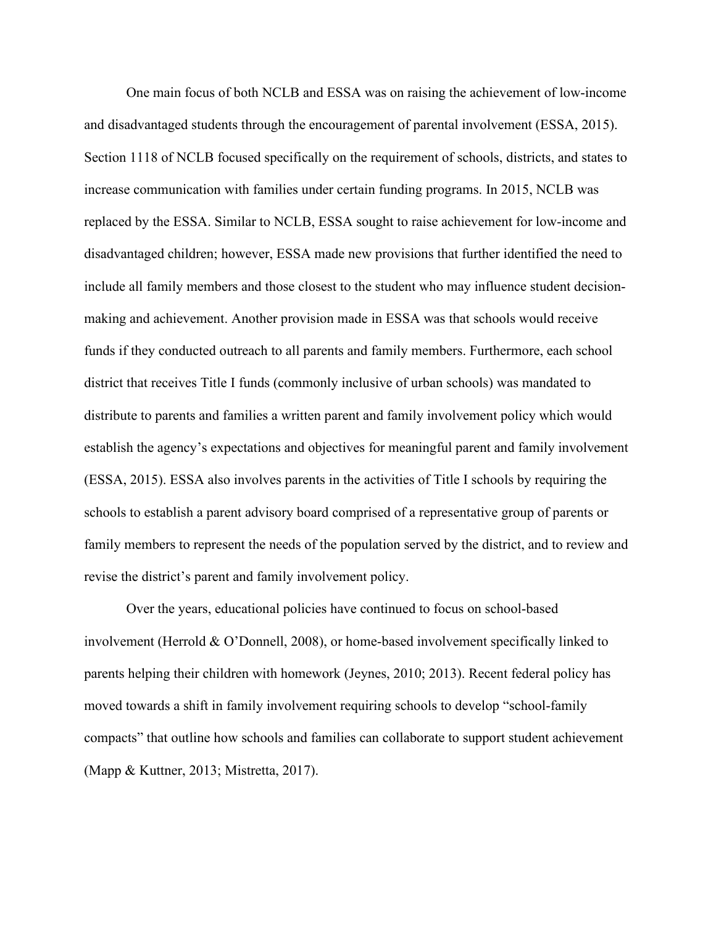One main focus of both NCLB and ESSA was on raising the achievement of low-income and disadvantaged students through the encouragement of parental involvement (ESSA, 2015). Section 1118 of NCLB focused specifically on the requirement of schools, districts, and states to increase communication with families under certain funding programs. In 2015, NCLB was replaced by the ESSA. Similar to NCLB, ESSA sought to raise achievement for low-income and disadvantaged children; however, ESSA made new provisions that further identified the need to include all family members and those closest to the student who may influence student decisionmaking and achievement. Another provision made in ESSA was that schools would receive funds if they conducted outreach to all parents and family members. Furthermore, each school district that receives Title I funds (commonly inclusive of urban schools) was mandated to distribute to parents and families a written parent and family involvement policy which would establish the agency's expectations and objectives for meaningful parent and family involvement (ESSA, 2015). ESSA also involves parents in the activities of Title I schools by requiring the schools to establish a parent advisory board comprised of a representative group of parents or family members to represent the needs of the population served by the district, and to review and revise the district's parent and family involvement policy.

Over the years, educational policies have continued to focus on school-based involvement (Herrold & O'Donnell, 2008), or home-based involvement specifically linked to parents helping their children with homework (Jeynes, 2010; 2013). Recent federal policy has moved towards a shift in family involvement requiring schools to develop "school-family compacts" that outline how schools and families can collaborate to support student achievement (Mapp & Kuttner, 2013; Mistretta, 2017).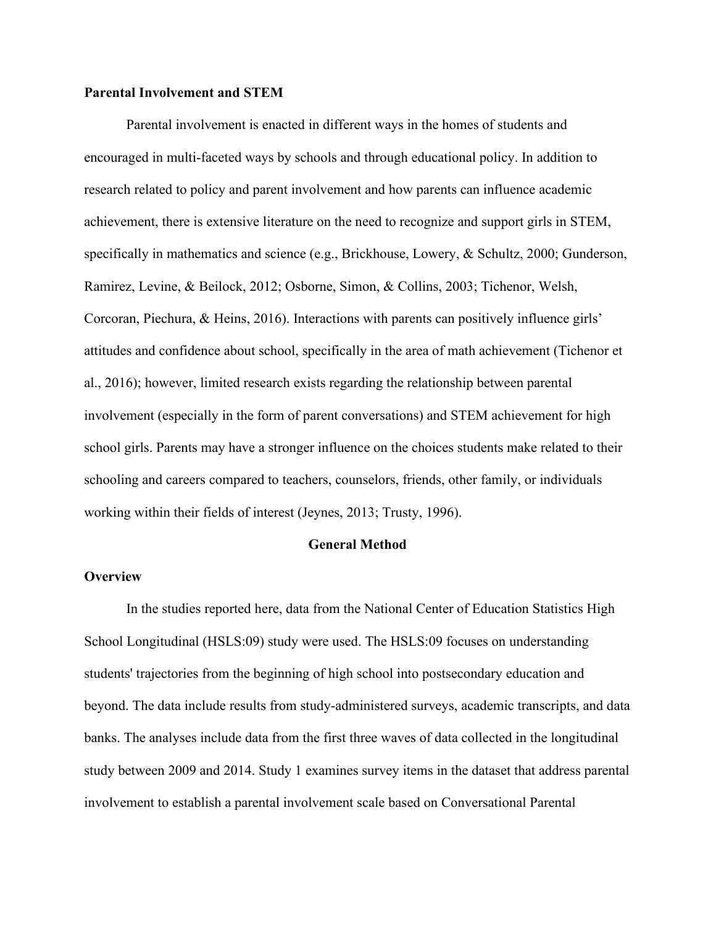## **Parental Involvement and STEM**

Parental involvement is enacted in different ways in the homes of students and encouraged in multi-faceted ways by schools and through educational policy. In addition to research related to policy and parent involvement and how parents can influence academic achievement, there is extensive literature on the need to recognize and support girls in STEM, specifically in mathematics and science (e.g., Brickhouse, Lowery, & Schultz, 2000; Gunderson, Ramirez, Levine, & Beilock, 2012; Osborne, Simon, & Collins, 2003; Tichenor, Welsh, Corcoran, Piechura, & Heins, 2016). Interactions with parents can positively influence girls' attitudes and confidence about school, specifically in the area of math achievement (Tichenor et al., 2016); however, limited research exists regarding the relationship between parental involvement (especially in the form of parent conversations) and STEM achievement for high school girls. Parents may have a stronger influence on the choices students make related to their schooling and careers compared to teachers, counselors, friends, other family, or individuals working within their fields of interest (Jeynes, 2013; Trusty, 1996).

### **General Method**

# **Overview**

In the studies reported here, data from the National Center of Education Statistics High School Longitudinal (HSLS:09) study were used. The HSLS:09 focuses on understanding students' trajectories from the beginning of high school into postsecondary education and beyond. The data include results from study-administered surveys, academic transcripts, and data banks. The analyses include data from the first three waves of data collected in the longitudinal study between 2009 and 2014. Study 1 examines survey items in the dataset that address parental involvement to establish a parental involvement scale based on Conversational Parental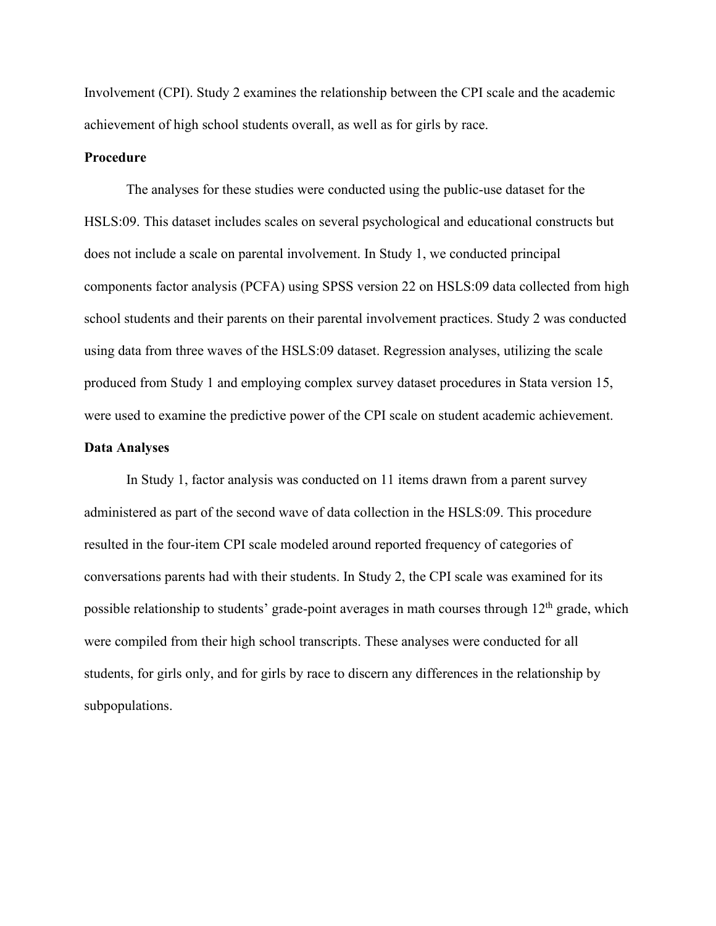Involvement (CPI). Study 2 examines the relationship between the CPI scale and the academic achievement of high school students overall, as well as for girls by race.

# **Procedure**

The analyses for these studies were conducted using the public-use dataset for the HSLS:09. This dataset includes scales on several psychological and educational constructs but does not include a scale on parental involvement. In Study 1, we conducted principal components factor analysis (PCFA) using SPSS version 22 on HSLS:09 data collected from high school students and their parents on their parental involvement practices. Study 2 was conducted using data from three waves of the HSLS:09 dataset. Regression analyses, utilizing the scale produced from Study 1 and employing complex survey dataset procedures in Stata version 15, were used to examine the predictive power of the CPI scale on student academic achievement.

# **Data Analyses**

In Study 1, factor analysis was conducted on 11 items drawn from a parent survey administered as part of the second wave of data collection in the HSLS:09. This procedure resulted in the four-item CPI scale modeled around reported frequency of categories of conversations parents had with their students. In Study 2, the CPI scale was examined for its possible relationship to students' grade-point averages in math courses through  $12<sup>th</sup>$  grade, which were compiled from their high school transcripts. These analyses were conducted for all students, for girls only, and for girls by race to discern any differences in the relationship by subpopulations.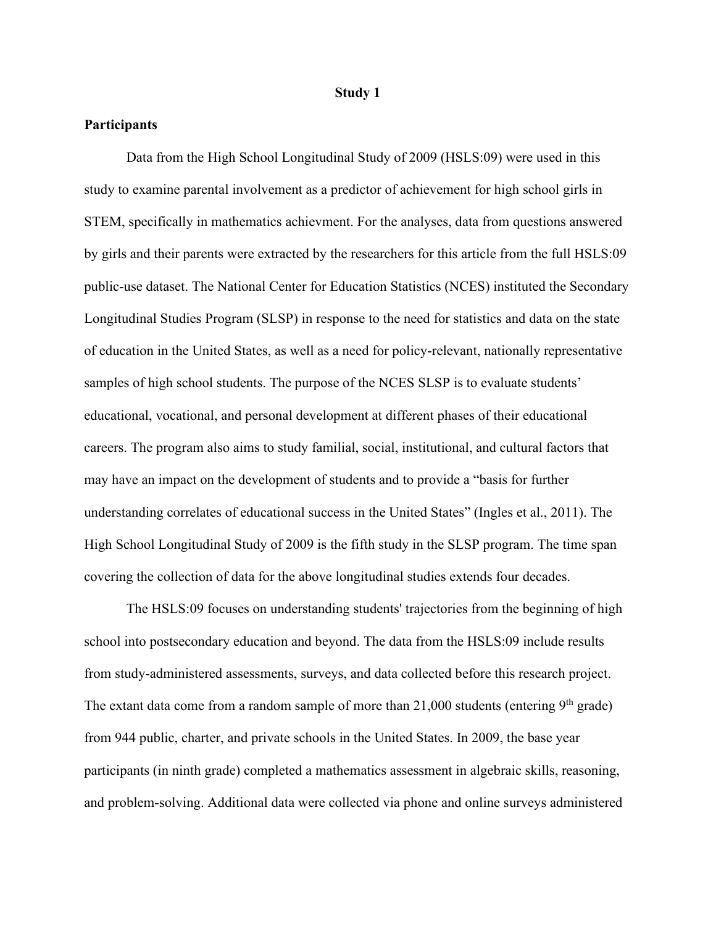#### **Study 1**

# **Participants**

Data from the High School Longitudinal Study of 2009 (HSLS:09) were used in this study to examine parental involvement as a predictor of achievement for high school girls in STEM, specifically in mathematics achievment. For the analyses, data from questions answered by girls and their parents were extracted by the researchers for this article from the full HSLS:09 public-use dataset. The National Center for Education Statistics (NCES) instituted the Secondary Longitudinal Studies Program (SLSP) in response to the need for statistics and data on the state of education in the United States, as well as a need for policy-relevant, nationally representative samples of high school students. The purpose of the NCES SLSP is to evaluate students' educational, vocational, and personal development at different phases of their educational careers. The program also aims to study familial, social, institutional, and cultural factors that may have an impact on the development of students and to provide a "basis for further understanding correlates of educational success in the United States" (Ingles et al., 2011). The High School Longitudinal Study of 2009 is the fifth study in the SLSP program. The time span covering the collection of data for the above longitudinal studies extends four decades.

The HSLS:09 focuses on understanding students' trajectories from the beginning of high school into postsecondary education and beyond. The data from the HSLS:09 include results from study-administered assessments, surveys, and data collected before this research project. The extant data come from a random sample of more than  $21,000$  students (entering  $9<sup>th</sup>$  grade) from 944 public, charter, and private schools in the United States. In 2009, the base year participants (in ninth grade) completed a mathematics assessment in algebraic skills, reasoning, and problem-solving. Additional data were collected via phone and online surveys administered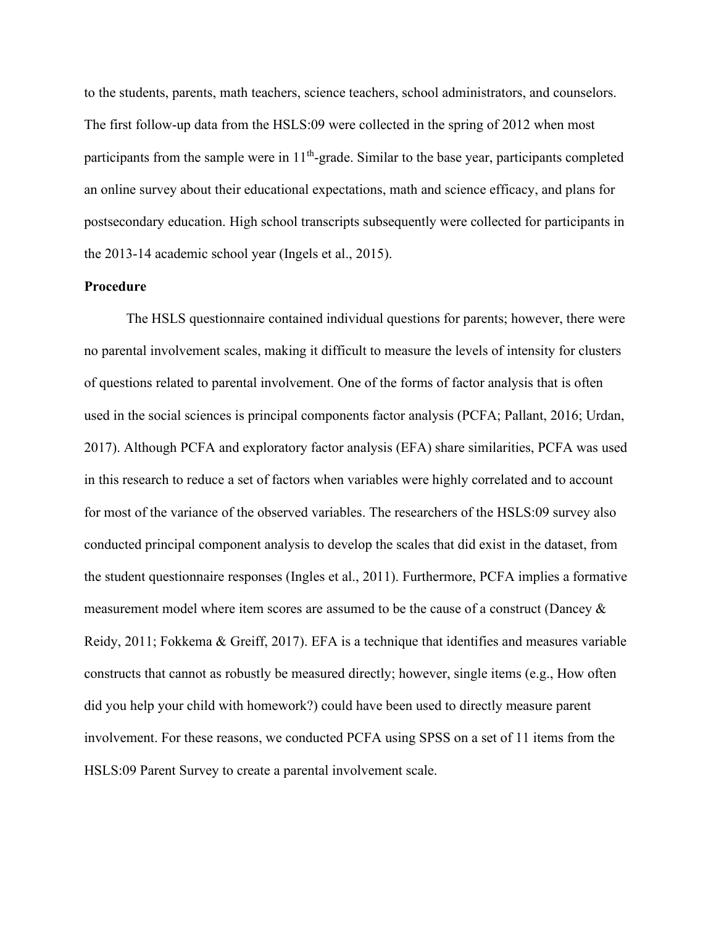to the students, parents, math teachers, science teachers, school administrators, and counselors. The first follow-up data from the HSLS:09 were collected in the spring of 2012 when most participants from the sample were in  $11<sup>th</sup>$ -grade. Similar to the base year, participants completed an online survey about their educational expectations, math and science efficacy, and plans for postsecondary education. High school transcripts subsequently were collected for participants in the 2013-14 academic school year (Ingels et al., 2015).

# **Procedure**

The HSLS questionnaire contained individual questions for parents; however, there were no parental involvement scales, making it difficult to measure the levels of intensity for clusters of questions related to parental involvement. One of the forms of factor analysis that is often used in the social sciences is principal components factor analysis (PCFA; Pallant, 2016; Urdan, 2017). Although PCFA and exploratory factor analysis (EFA) share similarities, PCFA was used in this research to reduce a set of factors when variables were highly correlated and to account for most of the variance of the observed variables. The researchers of the HSLS:09 survey also conducted principal component analysis to develop the scales that did exist in the dataset, from the student questionnaire responses (Ingles et al., 2011). Furthermore, PCFA implies a formative measurement model where item scores are assumed to be the cause of a construct (Dancey  $\&$ Reidy, 2011; Fokkema & Greiff, 2017). EFA is a technique that identifies and measures variable constructs that cannot as robustly be measured directly; however, single items (e.g., How often did you help your child with homework?) could have been used to directly measure parent involvement. For these reasons, we conducted PCFA using SPSS on a set of 11 items from the HSLS:09 Parent Survey to create a parental involvement scale.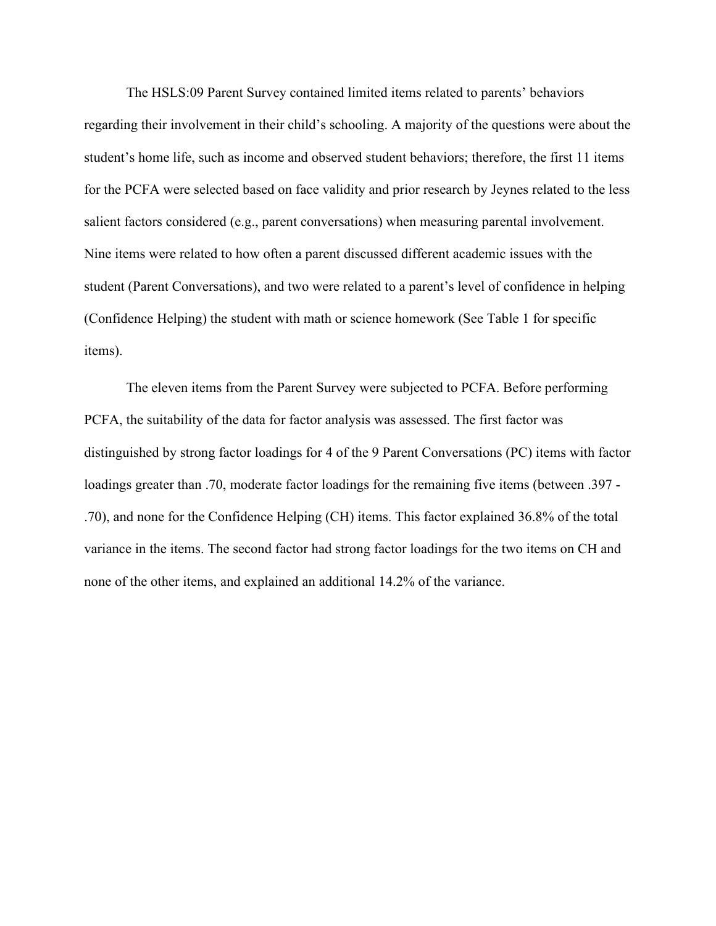The HSLS:09 Parent Survey contained limited items related to parents' behaviors regarding their involvement in their child's schooling. A majority of the questions were about the student's home life, such as income and observed student behaviors; therefore, the first 11 items for the PCFA were selected based on face validity and prior research by Jeynes related to the less salient factors considered (e.g., parent conversations) when measuring parental involvement. Nine items were related to how often a parent discussed different academic issues with the student (Parent Conversations), and two were related to a parent's level of confidence in helping (Confidence Helping) the student with math or science homework (See Table 1 for specific items).

The eleven items from the Parent Survey were subjected to PCFA. Before performing PCFA, the suitability of the data for factor analysis was assessed. The first factor was distinguished by strong factor loadings for 4 of the 9 Parent Conversations (PC) items with factor loadings greater than .70, moderate factor loadings for the remaining five items (between .397 - .70), and none for the Confidence Helping (CH) items. This factor explained 36.8% of the total variance in the items. The second factor had strong factor loadings for the two items on CH and none of the other items, and explained an additional 14.2% of the variance.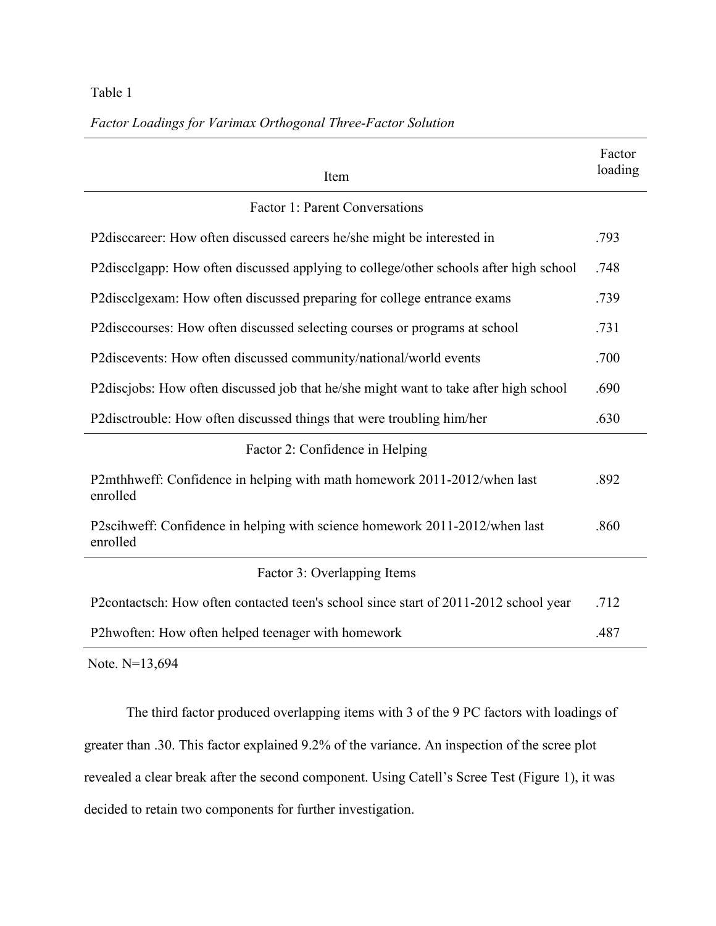# Table 1

| Item                                                                                    | Factor<br>loading |
|-----------------------------------------------------------------------------------------|-------------------|
| <b>Factor 1: Parent Conversations</b>                                                   |                   |
| P2disccareer: How often discussed careers he/she might be interested in                 | .793              |
| P2discolgapp: How often discussed applying to college/other schools after high school   | .748              |
| P2discolgexam: How often discussed preparing for college entrance exams                 | .739              |
| P2 discourses: How often discussed selecting courses or programs at school              | .731              |
| P2discevents: How often discussed community/national/world events                       | .700              |
| P2discjobs: How often discussed job that he/she might want to take after high school    | .690              |
| P2disctrouble: How often discussed things that were troubling him/her                   | .630              |
| Factor 2: Confidence in Helping                                                         |                   |
| P2mthhweff: Confidence in helping with math homework 2011-2012/when last<br>enrolled    | .892              |
| P2scihweff: Confidence in helping with science homework 2011-2012/when last<br>enrolled | .860              |

*Factor Loadings for Varimax Orthogonal Three-Factor Solution*

# Factor 3: Overlapping Items

P2contactsch: How often contacted teen's school since start of 2011-2012 school year .712 P2hwoften: How often helped teenager with homework .487

Note. N=13,694

The third factor produced overlapping items with 3 of the 9 PC factors with loadings of greater than .30. This factor explained 9.2% of the variance. An inspection of the scree plot revealed a clear break after the second component. Using Catell's Scree Test (Figure 1), it was decided to retain two components for further investigation.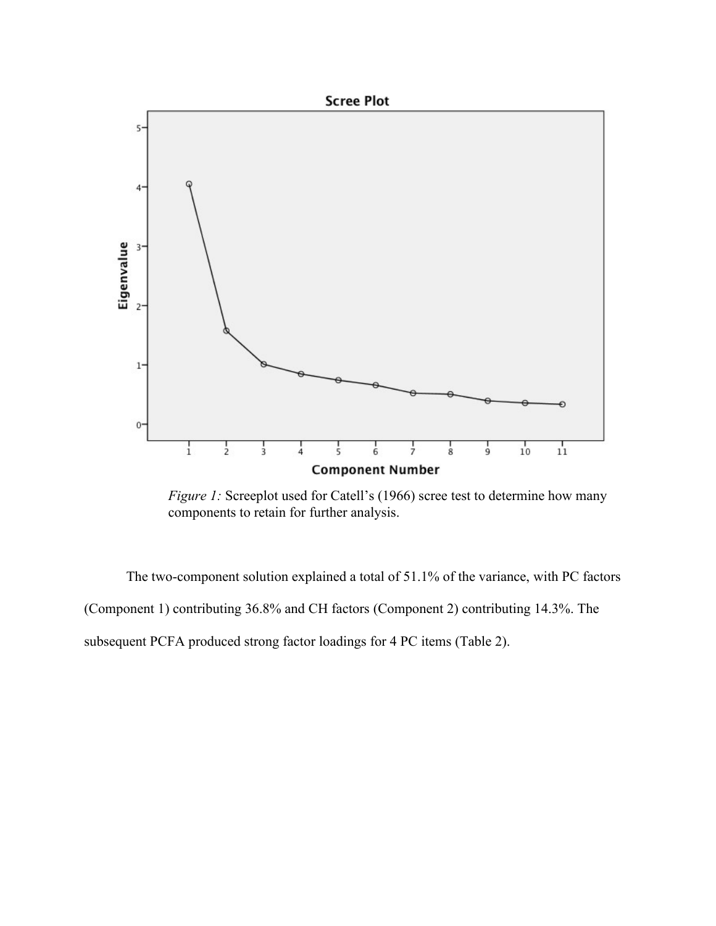

*Figure 1:* Screeplot used for Catell's (1966) scree test to determine how many components to retain for further analysis.

The two-component solution explained a total of 51.1% of the variance, with PC factors (Component 1) contributing 36.8% and CH factors (Component 2) contributing 14.3%. The subsequent PCFA produced strong factor loadings for 4 PC items (Table 2).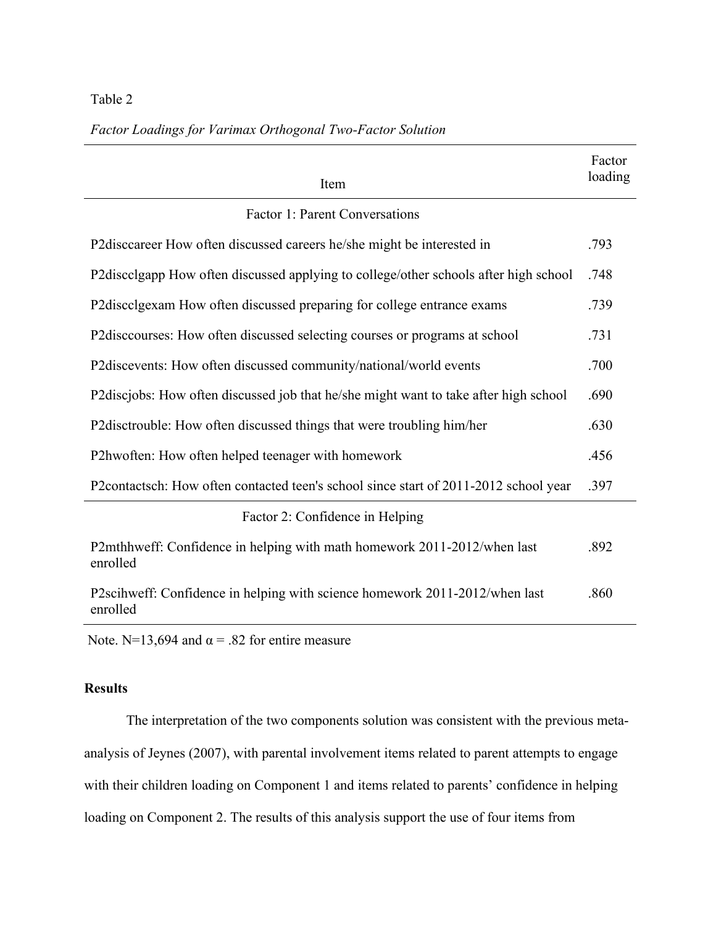# Table 2

# *Factor Loadings for Varimax Orthogonal Two-Factor Solution*

| Item                                                                                    | Factor<br>loading |
|-----------------------------------------------------------------------------------------|-------------------|
| <b>Factor 1: Parent Conversations</b>                                                   |                   |
| P2disccareer How often discussed careers he/she might be interested in                  | .793              |
| P2discolgapp How often discussed applying to college/other schools after high school    | .748              |
| P2discolgexam How often discussed preparing for college entrance exams                  | .739              |
| P2discourses: How often discussed selecting courses or programs at school               | .731              |
| P2discevents: How often discussed community/national/world events                       | .700              |
| P2discjobs: How often discussed job that he/she might want to take after high school    | .690              |
| P2disctrouble: How often discussed things that were troubling him/her                   | .630              |
| P2hwoften: How often helped teenager with homework                                      | .456              |
| P2contactsch: How often contacted teen's school since start of 2011-2012 school year    | .397              |
| Factor 2: Confidence in Helping                                                         |                   |
| P2mthhweff: Confidence in helping with math homework 2011-2012/when last<br>enrolled    | .892              |
| P2scihweff: Confidence in helping with science homework 2011-2012/when last<br>enrolled | .860              |

Note. N=13,694 and  $\alpha$  = .82 for entire measure

# **Results**

The interpretation of the two components solution was consistent with the previous metaanalysis of Jeynes (2007), with parental involvement items related to parent attempts to engage with their children loading on Component 1 and items related to parents' confidence in helping loading on Component 2. The results of this analysis support the use of four items from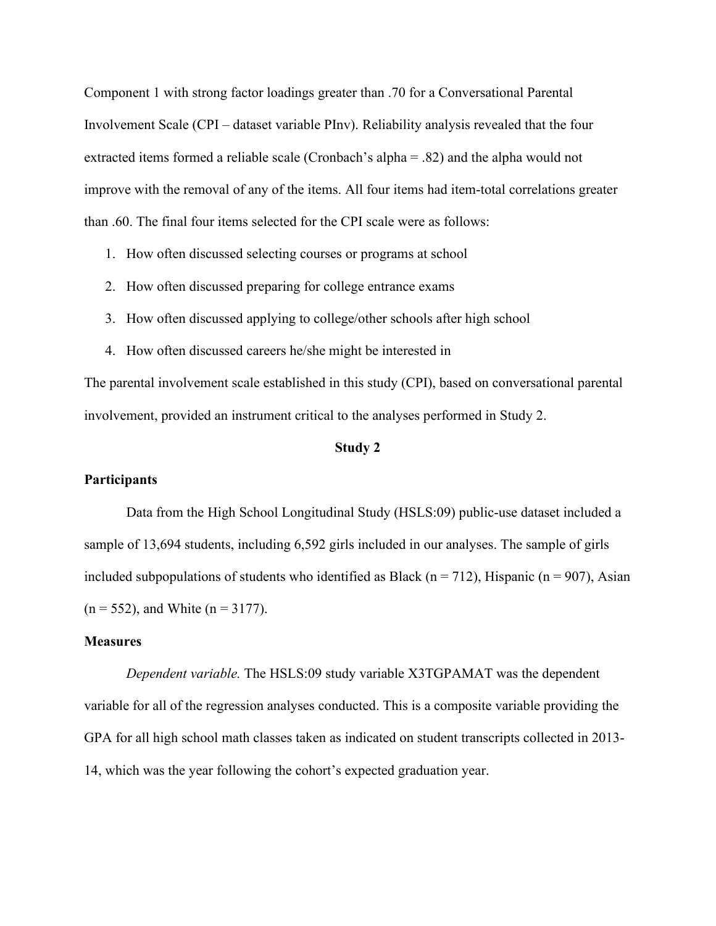Component 1 with strong factor loadings greater than .70 for a Conversational Parental Involvement Scale (CPI – dataset variable PInv). Reliability analysis revealed that the four extracted items formed a reliable scale (Cronbach's alpha = .82) and the alpha would not improve with the removal of any of the items. All four items had item-total correlations greater than .60. The final four items selected for the CPI scale were as follows:

- 1. How often discussed selecting courses or programs at school
- 2. How often discussed preparing for college entrance exams
- 3. How often discussed applying to college/other schools after high school
- 4. How often discussed careers he/she might be interested in

The parental involvement scale established in this study (CPI), based on conversational parental involvement, provided an instrument critical to the analyses performed in Study 2.

# **Study 2**

# **Participants**

Data from the High School Longitudinal Study (HSLS:09) public-use dataset included a sample of 13,694 students, including 6,592 girls included in our analyses. The sample of girls included subpopulations of students who identified as Black ( $n = 712$ ), Hispanic ( $n = 907$ ), Asian  $(n = 552)$ , and White  $(n = 3177)$ .

#### **Measures**

*Dependent variable.* The HSLS:09 study variable X3TGPAMAT was the dependent variable for all of the regression analyses conducted. This is a composite variable providing the GPA for all high school math classes taken as indicated on student transcripts collected in 2013- 14, which was the year following the cohort's expected graduation year.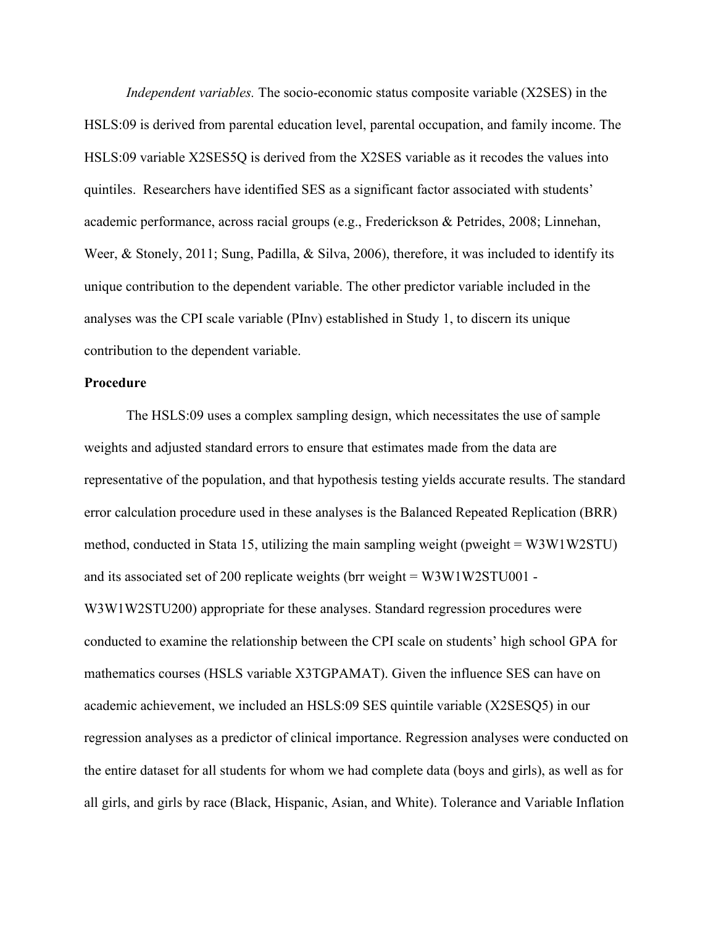*Independent variables.* The socio-economic status composite variable (X2SES) in the HSLS:09 is derived from parental education level, parental occupation, and family income. The HSLS:09 variable X2SES5Q is derived from the X2SES variable as it recodes the values into quintiles. Researchers have identified SES as a significant factor associated with students' academic performance, across racial groups (e.g., Frederickson & Petrides, 2008; Linnehan, Weer, & Stonely, 2011; Sung, Padilla, & Silva, 2006), therefore, it was included to identify its unique contribution to the dependent variable. The other predictor variable included in the analyses was the CPI scale variable (PInv) established in Study 1, to discern its unique contribution to the dependent variable.

#### **Procedure**

The HSLS:09 uses a complex sampling design, which necessitates the use of sample weights and adjusted standard errors to ensure that estimates made from the data are representative of the population, and that hypothesis testing yields accurate results. The standard error calculation procedure used in these analyses is the Balanced Repeated Replication (BRR) method, conducted in Stata 15, utilizing the main sampling weight (pweight = W3W1W2STU) and its associated set of 200 replicate weights (brr weight = W3W1W2STU001 - W3W1W2STU200) appropriate for these analyses. Standard regression procedures were conducted to examine the relationship between the CPI scale on students' high school GPA for mathematics courses (HSLS variable X3TGPAMAT). Given the influence SES can have on academic achievement, we included an HSLS:09 SES quintile variable (X2SESQ5) in our regression analyses as a predictor of clinical importance. Regression analyses were conducted on the entire dataset for all students for whom we had complete data (boys and girls), as well as for all girls, and girls by race (Black, Hispanic, Asian, and White). Tolerance and Variable Inflation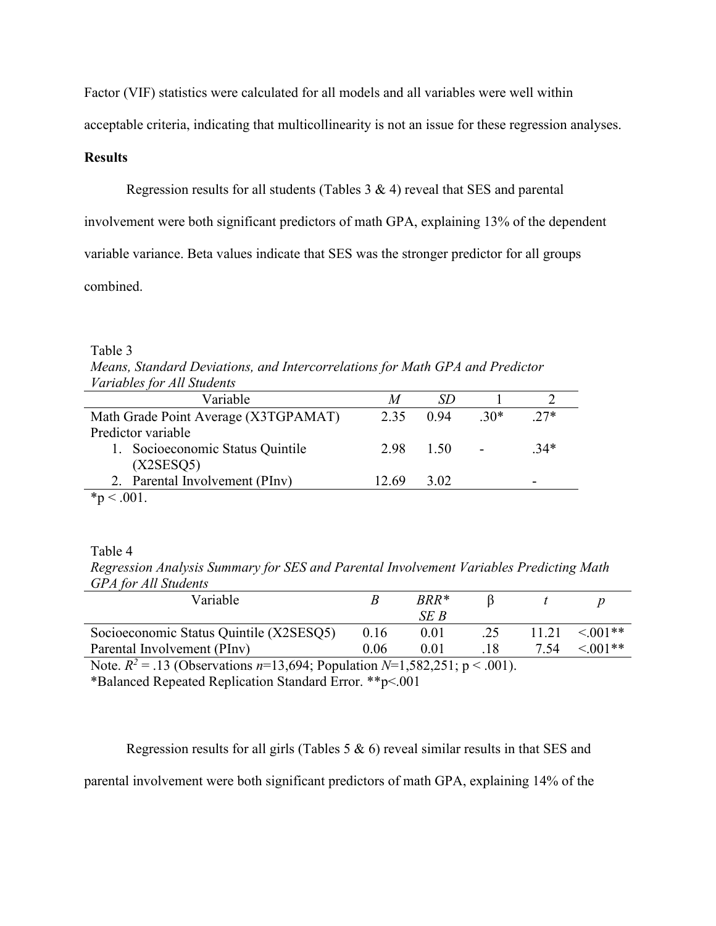Factor (VIF) statistics were calculated for all models and all variables were well within

acceptable criteria, indicating that multicollinearity is not an issue for these regression analyses.

# **Results**

Regression results for all students (Tables 3 & 4) reveal that SES and parental

involvement were both significant predictors of math GPA, explaining 13% of the dependent

variable variance. Beta values indicate that SES was the stronger predictor for all groups

combined.

# Table 3

| Means, Standard Deviations, and Intercorrelations for Math GPA and Predictor |  |
|------------------------------------------------------------------------------|--|
| <i>Variables for All Students</i>                                            |  |

| Variable                             |           | SD   |       |        |
|--------------------------------------|-----------|------|-------|--------|
| Math Grade Point Average (X3TGPAMAT) | 2.35      | 0.94 | $30*$ | $27*$  |
| Predictor variable                   |           |      |       |        |
| 1. Socioeconomic Status Quintile     | 2.98 1.50 |      |       | $.34*$ |
| (X2SESQ5)                            |           |      |       |        |
| 2. Parental Involvement (PInv)       | 12.69     | 3.02 |       |        |
|                                      |           |      |       |        |

# Table 4

*Regression Analysis Summary for SES and Parental Involvement Variables Predicting Math GPA for All Students*

| Variable                                |      | $BRR*$ |        |       |               |
|-----------------------------------------|------|--------|--------|-------|---------------|
|                                         |      | SE B   |        |       |               |
| Socioeconomic Status Quintile (X2SESQ5) | 0.16 | 0.01   |        | 11.21 | $\leq 0.01**$ |
| Parental Involvement (PInv)             | 0.06 |        |        | 7.54  | $\leq 0.01**$ |
| .<br>.                                  |      |        | $   -$ |       |               |

Note.  $R^2 = .13$  (Observations  $n=13,694$ ; Population  $N=1,582,251$ ;  $p < .001$ ).

\*Balanced Repeated Replication Standard Error. \*\*p<.001

Regression results for all girls (Tables  $5 \& 6$ ) reveal similar results in that SES and parental involvement were both significant predictors of math GPA, explaining 14% of the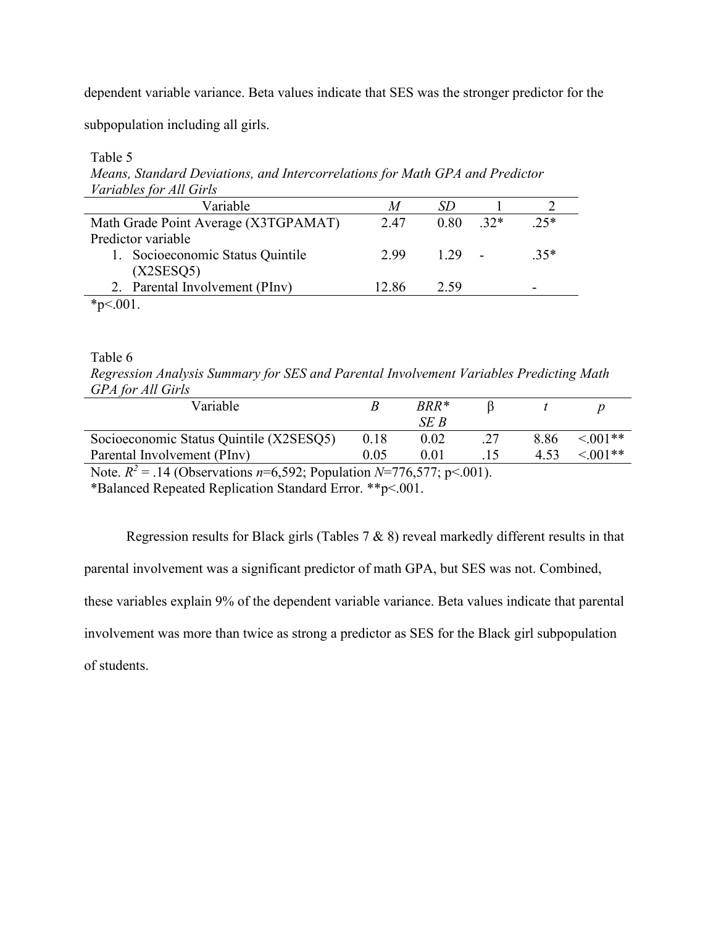dependent variable variance. Beta values indicate that SES was the stronger predictor for the

subpopulation including all girls.

Table 5

*Means, Standard Deviations, and Intercorrelations for Math GPA and Predictor Variables for All Girls*

| Variable                             | M     |      |       |        |
|--------------------------------------|-------|------|-------|--------|
| Math Grade Point Average (X3TGPAMAT) | 2.47  | 0.80 | $32*$ | $25*$  |
| Predictor variable                   |       |      |       |        |
| 1. Socioeconomic Status Quintile     | 2.99  | 1 29 |       | $.35*$ |
| (X2SESQ5)                            |       |      |       |        |
| 2. Parental Involvement (PInv)       | 12.86 | 2.59 |       |        |
|                                      |       |      |       |        |

Table 6

*Regression Analysis Summary for SES and Parental Involvement Variables Predicting Math GPA for All Girls*

| Variable                                                                              |      | $BRR*$ |  |      |               |
|---------------------------------------------------------------------------------------|------|--------|--|------|---------------|
|                                                                                       |      | SE B   |  |      |               |
| Socioeconomic Status Quintile (X2SESQ5)                                               | 0.18 | 0.02   |  | 8.86 | $\leq 0.01**$ |
| Parental Involvement (PInv)                                                           | 0.05 | 0.01   |  | 4.53 | $\leq 0.01**$ |
| Note $D^2 = 14$ (Observations $v = 6.502$ ) Depulstion $N = 776.577$ , $v \ge 0.01$ ) |      |        |  |      |               |

Note.  $R^2 = .14$  (Observations  $n=6,592$ ; Population  $N=776,577$ ;  $p<.001$ ).

\*Balanced Repeated Replication Standard Error. \*\*p<.001.

Regression results for Black girls (Tables  $7 & 8$ ) reveal markedly different results in that parental involvement was a significant predictor of math GPA, but SES was not. Combined, these variables explain 9% of the dependent variable variance. Beta values indicate that parental involvement was more than twice as strong a predictor as SES for the Black girl subpopulation of students.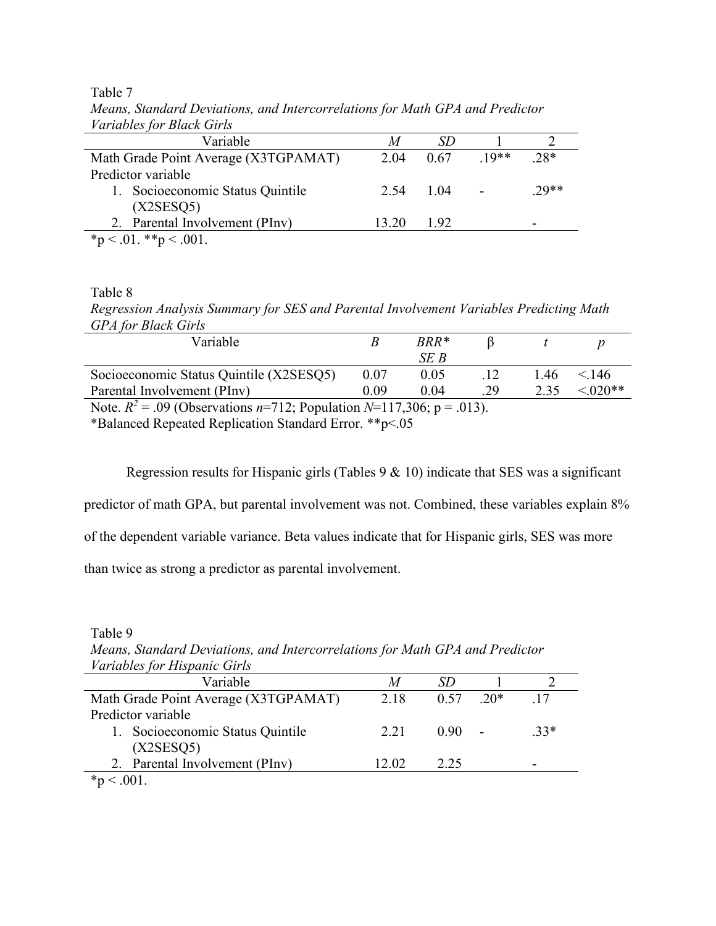| r ar laolos for Bilaoll Stris        |       |      |        |        |
|--------------------------------------|-------|------|--------|--------|
| Variable                             | M     | SD   |        |        |
| Math Grade Point Average (X3TGPAMAT) | 2.04  | 0.67 | $10**$ | $.28*$ |
| Predictor variable                   |       |      |        |        |
| 1. Socioeconomic Status Quintile     | 2.54  | 1.04 |        | $70**$ |
| (X2SESQ5)                            |       |      |        |        |
| 2. Parental Involvement (PInv)       | 13.20 | 1.92 |        |        |
| *p < .01. **p < .001.                |       |      |        |        |

Table 7 *Means, Standard Deviations, and Intercorrelations for Math GPA and Predictor Variables for Black Girls*

Table 8

*Regression Analysis Summary for SES and Parental Involvement Variables Predicting Math GPA for Black Girls*

| Variable                                                                 |      | BRR* |    |      |           |
|--------------------------------------------------------------------------|------|------|----|------|-----------|
|                                                                          |      | SE B |    |      |           |
| Socioeconomic Status Quintile (X2SESQ5)                                  | 0.07 | 0.05 |    | l.46 | < 146     |
| Parental Involvement (PInv)                                              | 0.09 | 0.04 | 29 | 2.35 | $< 020**$ |
| $N_{\text{min}} = D^2$ 00 (Observe) we 712. Developing M 117.200. (2012) |      |      |    |      |           |

Note.  $R^2 = .09$  (Observations  $n=712$ ; Population  $N=117,306$ ;  $p = .013$ ).

\*Balanced Repeated Replication Standard Error. \*\*p<.05

Regression results for Hispanic girls (Tables 9 & 10) indicate that SES was a significant

predictor of math GPA, but parental involvement was not. Combined, these variables explain 8%

of the dependent variable variance. Beta values indicate that for Hispanic girls, SES was more

than twice as strong a predictor as parental involvement.

Table 9

*Means, Standard Deviations, and Intercorrelations for Math GPA and Predictor Variables for Hispanic Girls*

| r ar laolos for Trispanic Girls      |       |      |       |        |
|--------------------------------------|-------|------|-------|--------|
| Variable                             | M     |      |       |        |
| Math Grade Point Average (X3TGPAMAT) | 2.18  | 0.57 | $20*$ |        |
| Predictor variable                   |       |      |       |        |
| 1. Socioeconomic Status Quintile     | 2.21  | 0.90 |       | $.33*$ |
| (X2SESQ5)                            |       |      |       |        |
| 2. Parental Involvement (PInv)       | 12.02 | 2.25 |       |        |
| ste.<br>$\sim$ 0.01                  |       |      |       |        |

 $*_{p}$  < .001.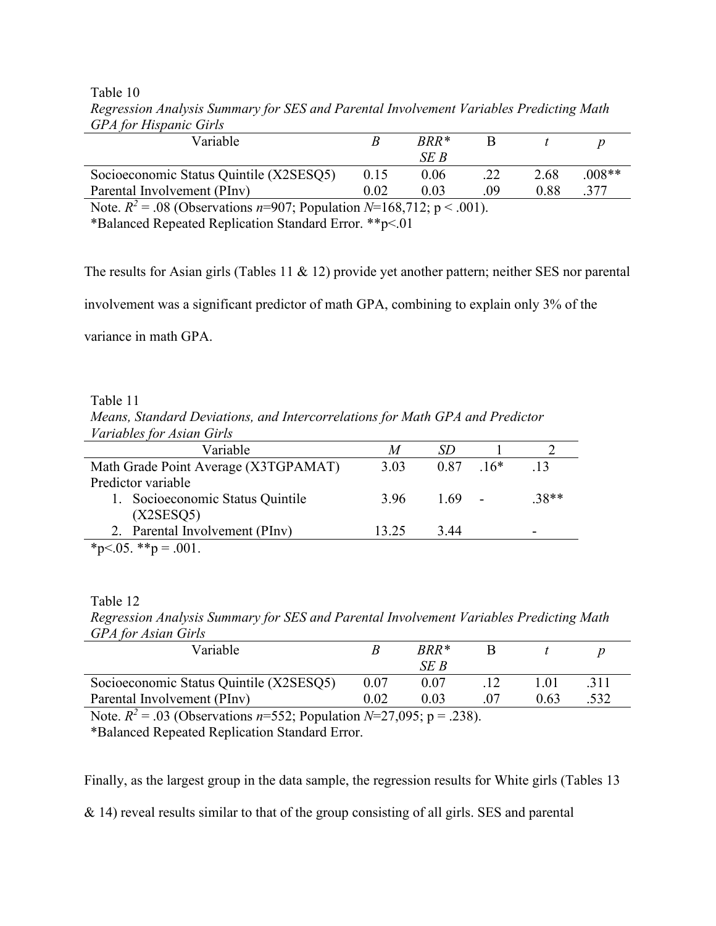Table 10

|      | $BRR*$ |     |      |          |
|------|--------|-----|------|----------|
|      | SE B   |     |      |          |
| 0.15 | 0.06   | .22 | 2.68 | $.008**$ |
| 0.02 | 0.03   | 09  | 0.88 |          |
|      |        |     |      |          |

*Regression Analysis Summary for SES and Parental Involvement Variables Predicting Math GPA for Hispanic Girls*

Note.  $R^2 = .08$  (Observations *n*=907; Population *N*=168,712; p < .001).

\*Balanced Repeated Replication Standard Error. \*\*p<.01

The results for Asian girls (Tables 11 & 12) provide yet another pattern; neither SES nor parental

involvement was a significant predictor of math GPA, combining to explain only 3% of the

variance in math GPA.

Table 11

*Means, Standard Deviations, and Intercorrelations for Math GPA and Predictor Variables for Asian Girls*

| Variable                             | M     |             |        |
|--------------------------------------|-------|-------------|--------|
| Math Grade Point Average (X3TGPAMAT) | 3.03  | $0.87$ .16* | 13     |
| Predictor variable                   |       |             |        |
| 1. Socioeconomic Status Quintile     | 3.96  | - 1.69 -    | $38**$ |
| (X2SESQ5)                            |       |             |        |
| 2. Parental Involvement (PInv)       | 13.25 | 3.44        | -      |
| * $p<0.05$ . ** $p=.001$ .           |       |             |        |
|                                      |       |             |        |

Table 12

*Regression Analysis Summary for SES and Parental Involvement Variables Predicting Math GPA for Asian Girls*

| Variable                                |          | $BRR*$ |      |     |
|-----------------------------------------|----------|--------|------|-----|
|                                         |          | SE B   |      |     |
| Socioeconomic Status Quintile (X2SESQ5) | $0.07\,$ |        |      |     |
| Parental Involvement (PInv)             | $0.02\,$ | 0.03   | 0.63 | 532 |
|                                         |          |        |      |     |

Note.  $R^2 = .03$  (Observations *n*=552; Population *N*=27,095; p = .238).

\*Balanced Repeated Replication Standard Error.

Finally, as the largest group in the data sample, the regression results for White girls (Tables 13

& 14) reveal results similar to that of the group consisting of all girls. SES and parental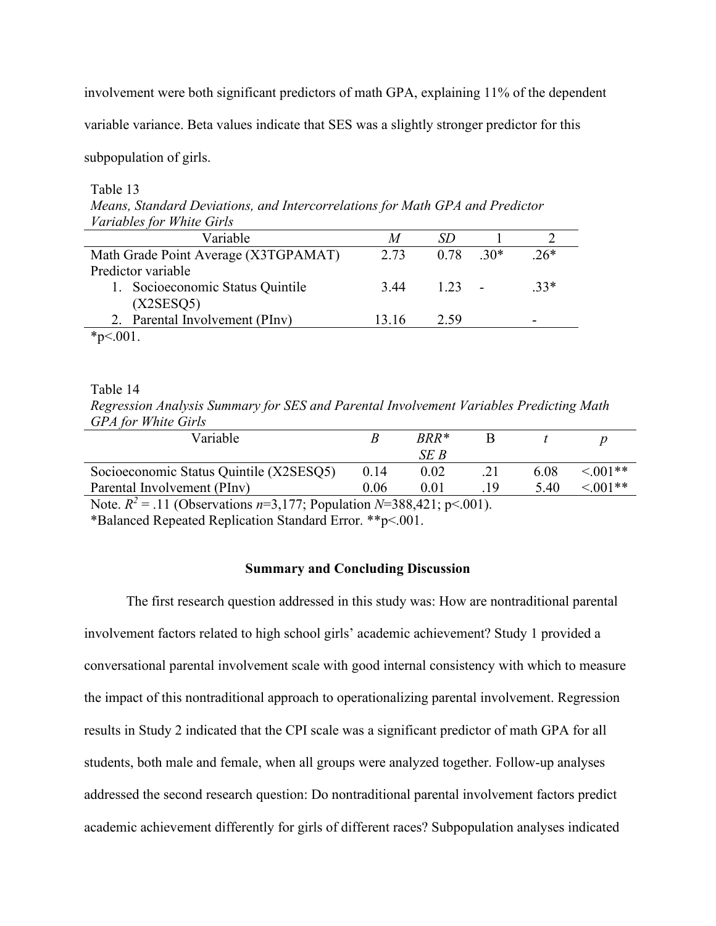involvement were both significant predictors of math GPA, explaining 11% of the dependent

variable variance. Beta values indicate that SES was a slightly stronger predictor for this

subpopulation of girls.

Table 13

*Means, Standard Deviations, and Intercorrelations for Math GPA and Predictor Variables for White Girls*

| M     |      |       |        |
|-------|------|-------|--------|
| 2.73  | 0.78 | $30*$ | $.26*$ |
|       |      |       |        |
| 3.44  |      |       | $33*$  |
|       |      |       |        |
| 13.16 | 2.59 |       |        |
|       |      |       |        |
|       |      |       | 1.23   |

Table 14

*Regression Analysis Summary for SES and Parental Involvement Variables Predicting Math GPA for White Girls*

| Variable                                |      | $BRR*$ |      |               |
|-----------------------------------------|------|--------|------|---------------|
|                                         |      | SE B   |      |               |
| Socioeconomic Status Quintile (X2SESO5) | 0.14 | 0.02   | 6.08 | $\leq 0.01**$ |
| Parental Involvement (PInv)             | 0.06 | 0.01   | 5.40 | $5.001**$     |
|                                         |      |        |      |               |

Note.  $R^2 = .11$  (Observations  $n=3,177$ ; Population  $N=388,421$ ; p<.001).

\*Balanced Repeated Replication Standard Error. \*\*p<.001.

# **Summary and Concluding Discussion**

The first research question addressed in this study was: How are nontraditional parental involvement factors related to high school girls' academic achievement? Study 1 provided a conversational parental involvement scale with good internal consistency with which to measure the impact of this nontraditional approach to operationalizing parental involvement. Regression results in Study 2 indicated that the CPI scale was a significant predictor of math GPA for all students, both male and female, when all groups were analyzed together. Follow-up analyses addressed the second research question: Do nontraditional parental involvement factors predict academic achievement differently for girls of different races? Subpopulation analyses indicated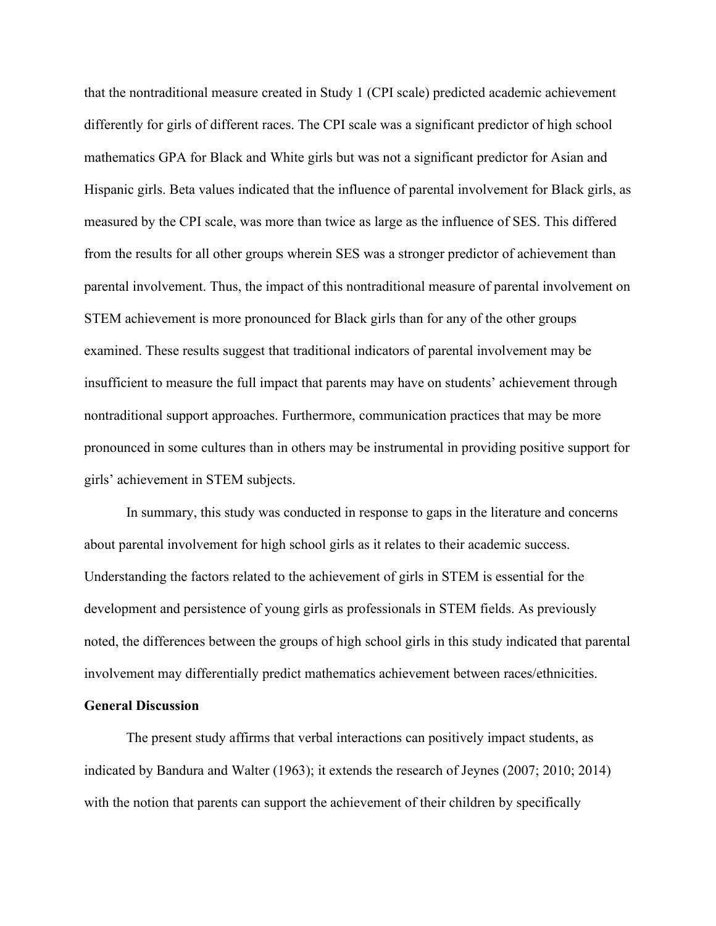that the nontraditional measure created in Study 1 (CPI scale) predicted academic achievement differently for girls of different races. The CPI scale was a significant predictor of high school mathematics GPA for Black and White girls but was not a significant predictor for Asian and Hispanic girls. Beta values indicated that the influence of parental involvement for Black girls, as measured by the CPI scale, was more than twice as large as the influence of SES. This differed from the results for all other groups wherein SES was a stronger predictor of achievement than parental involvement. Thus, the impact of this nontraditional measure of parental involvement on STEM achievement is more pronounced for Black girls than for any of the other groups examined. These results suggest that traditional indicators of parental involvement may be insufficient to measure the full impact that parents may have on students' achievement through nontraditional support approaches. Furthermore, communication practices that may be more pronounced in some cultures than in others may be instrumental in providing positive support for girls' achievement in STEM subjects.

In summary, this study was conducted in response to gaps in the literature and concerns about parental involvement for high school girls as it relates to their academic success. Understanding the factors related to the achievement of girls in STEM is essential for the development and persistence of young girls as professionals in STEM fields. As previously noted, the differences between the groups of high school girls in this study indicated that parental involvement may differentially predict mathematics achievement between races/ethnicities.

# **General Discussion**

The present study affirms that verbal interactions can positively impact students, as indicated by Bandura and Walter (1963); it extends the research of Jeynes (2007; 2010; 2014) with the notion that parents can support the achievement of their children by specifically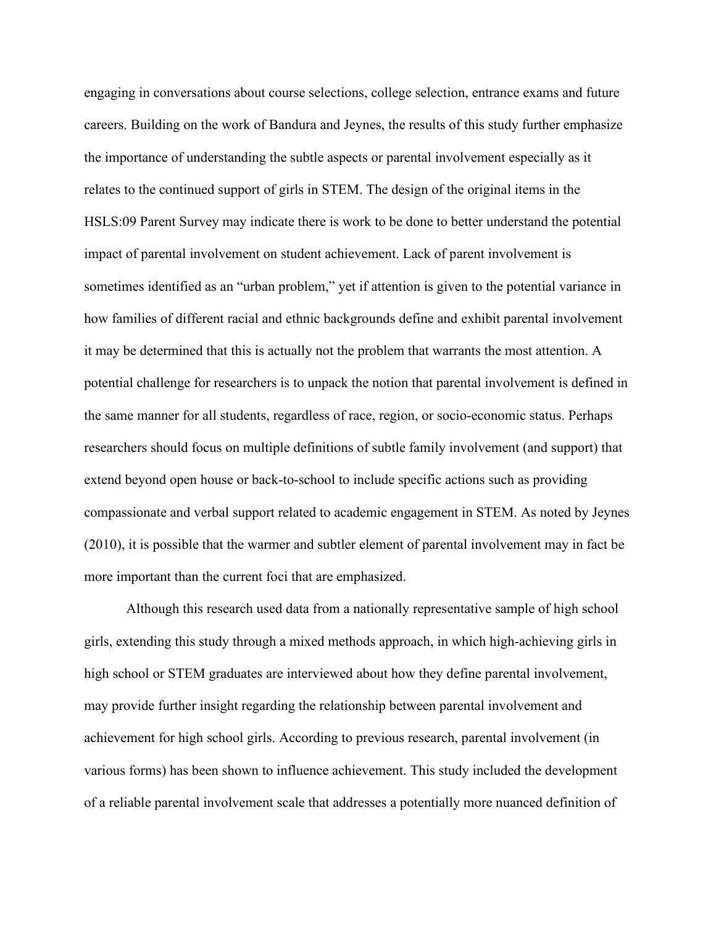engaging in conversations about course selections, college selection, entrance exams and future careers. Building on the work of Bandura and Jeynes, the results of this study further emphasize the importance of understanding the subtle aspects or parental involvement especially as it relates to the continued support of girls in STEM. The design of the original items in the HSLS:09 Parent Survey may indicate there is work to be done to better understand the potential impact of parental involvement on student achievement. Lack of parent involvement is sometimes identified as an "urban problem," yet if attention is given to the potential variance in how families of different racial and ethnic backgrounds define and exhibit parental involvement it may be determined that this is actually not the problem that warrants the most attention. A potential challenge for researchers is to unpack the notion that parental involvement is defined in the same manner for all students, regardless of race, region, or socio-economic status. Perhaps researchers should focus on multiple definitions of subtle family involvement (and support) that extend beyond open house or back-to-school to include specific actions such as providing compassionate and verbal support related to academic engagement in STEM. As noted by Jeynes (2010), it is possible that the warmer and subtler element of parental involvement may in fact be more important than the current foci that are emphasized.

Although this research used data from a nationally representative sample of high school girls, extending this study through a mixed methods approach, in which high-achieving girls in high school or STEM graduates are interviewed about how they define parental involvement, may provide further insight regarding the relationship between parental involvement and achievement for high school girls. According to previous research, parental involvement (in various forms) has been shown to influence achievement. This study included the development of a reliable parental involvement scale that addresses a potentially more nuanced definition of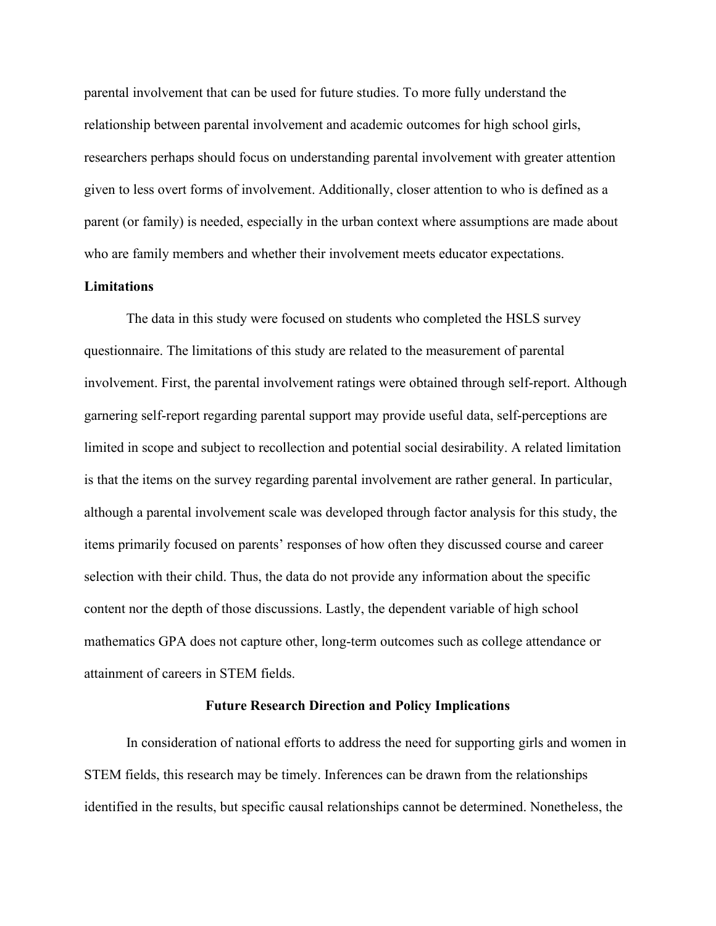parental involvement that can be used for future studies. To more fully understand the relationship between parental involvement and academic outcomes for high school girls, researchers perhaps should focus on understanding parental involvement with greater attention given to less overt forms of involvement. Additionally, closer attention to who is defined as a parent (or family) is needed, especially in the urban context where assumptions are made about who are family members and whether their involvement meets educator expectations.

# **Limitations**

The data in this study were focused on students who completed the HSLS survey questionnaire. The limitations of this study are related to the measurement of parental involvement. First, the parental involvement ratings were obtained through self-report. Although garnering self-report regarding parental support may provide useful data, self-perceptions are limited in scope and subject to recollection and potential social desirability. A related limitation is that the items on the survey regarding parental involvement are rather general. In particular, although a parental involvement scale was developed through factor analysis for this study, the items primarily focused on parents' responses of how often they discussed course and career selection with their child. Thus, the data do not provide any information about the specific content nor the depth of those discussions. Lastly, the dependent variable of high school mathematics GPA does not capture other, long-term outcomes such as college attendance or attainment of careers in STEM fields.

#### **Future Research Direction and Policy Implications**

In consideration of national efforts to address the need for supporting girls and women in STEM fields, this research may be timely. Inferences can be drawn from the relationships identified in the results, but specific causal relationships cannot be determined. Nonetheless, the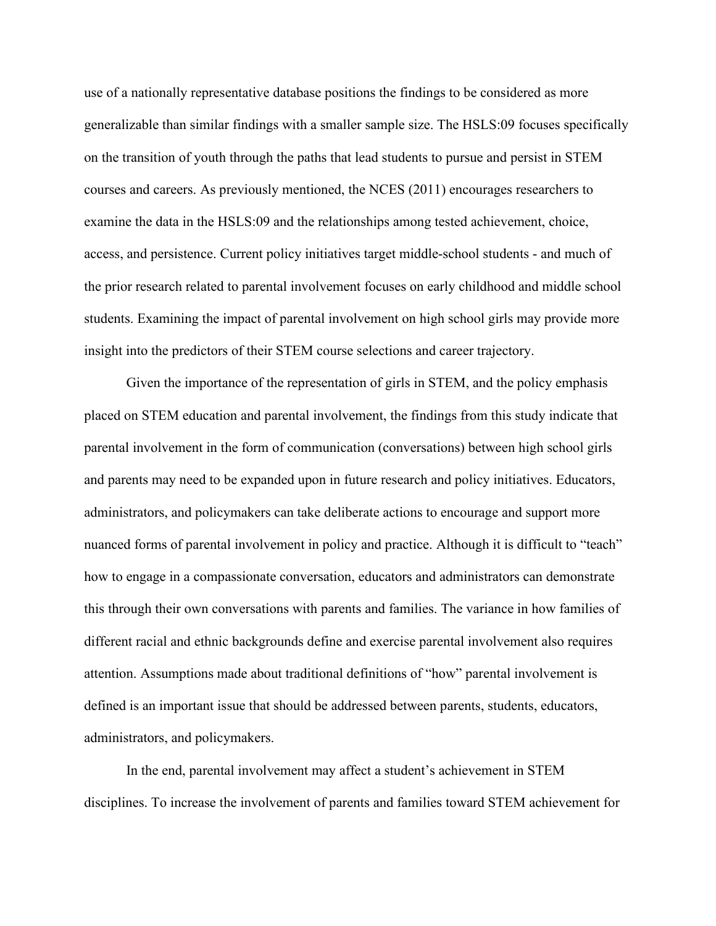use of a nationally representative database positions the findings to be considered as more generalizable than similar findings with a smaller sample size. The HSLS:09 focuses specifically on the transition of youth through the paths that lead students to pursue and persist in STEM courses and careers. As previously mentioned, the NCES (2011) encourages researchers to examine the data in the HSLS:09 and the relationships among tested achievement, choice, access, and persistence. Current policy initiatives target middle-school students - and much of the prior research related to parental involvement focuses on early childhood and middle school students. Examining the impact of parental involvement on high school girls may provide more insight into the predictors of their STEM course selections and career trajectory.

Given the importance of the representation of girls in STEM, and the policy emphasis placed on STEM education and parental involvement, the findings from this study indicate that parental involvement in the form of communication (conversations) between high school girls and parents may need to be expanded upon in future research and policy initiatives. Educators, administrators, and policymakers can take deliberate actions to encourage and support more nuanced forms of parental involvement in policy and practice. Although it is difficult to "teach" how to engage in a compassionate conversation, educators and administrators can demonstrate this through their own conversations with parents and families. The variance in how families of different racial and ethnic backgrounds define and exercise parental involvement also requires attention. Assumptions made about traditional definitions of "how" parental involvement is defined is an important issue that should be addressed between parents, students, educators, administrators, and policymakers.

In the end, parental involvement may affect a student's achievement in STEM disciplines. To increase the involvement of parents and families toward STEM achievement for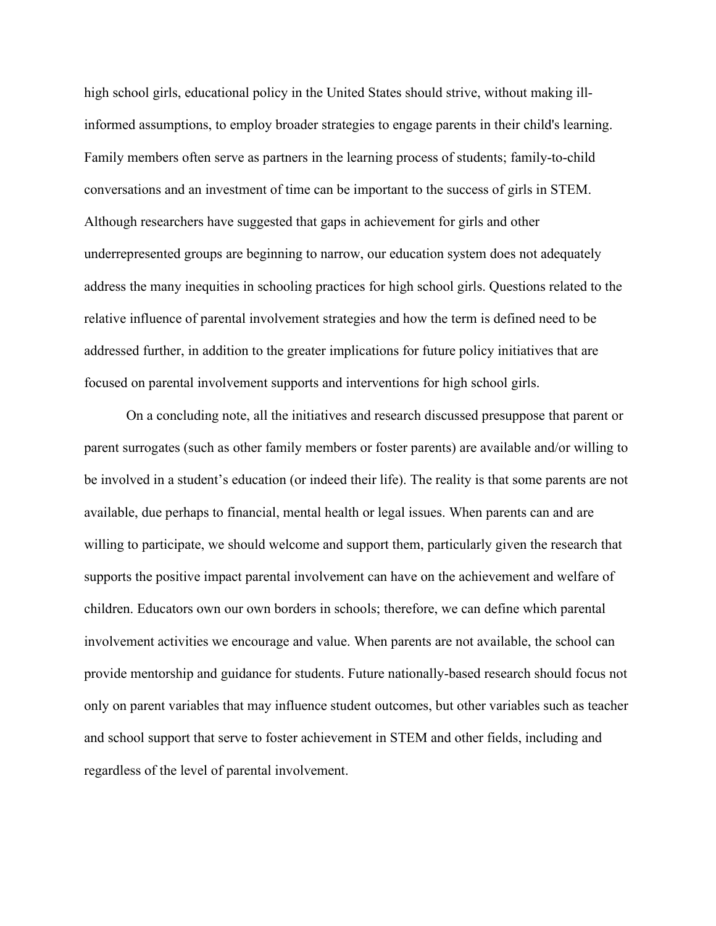high school girls, educational policy in the United States should strive, without making illinformed assumptions, to employ broader strategies to engage parents in their child's learning. Family members often serve as partners in the learning process of students; family-to-child conversations and an investment of time can be important to the success of girls in STEM. Although researchers have suggested that gaps in achievement for girls and other underrepresented groups are beginning to narrow, our education system does not adequately address the many inequities in schooling practices for high school girls. Questions related to the relative influence of parental involvement strategies and how the term is defined need to be addressed further, in addition to the greater implications for future policy initiatives that are focused on parental involvement supports and interventions for high school girls.

On a concluding note, all the initiatives and research discussed presuppose that parent or parent surrogates (such as other family members or foster parents) are available and/or willing to be involved in a student's education (or indeed their life). The reality is that some parents are not available, due perhaps to financial, mental health or legal issues. When parents can and are willing to participate, we should welcome and support them, particularly given the research that supports the positive impact parental involvement can have on the achievement and welfare of children. Educators own our own borders in schools; therefore, we can define which parental involvement activities we encourage and value. When parents are not available, the school can provide mentorship and guidance for students. Future nationally-based research should focus not only on parent variables that may influence student outcomes, but other variables such as teacher and school support that serve to foster achievement in STEM and other fields, including and regardless of the level of parental involvement.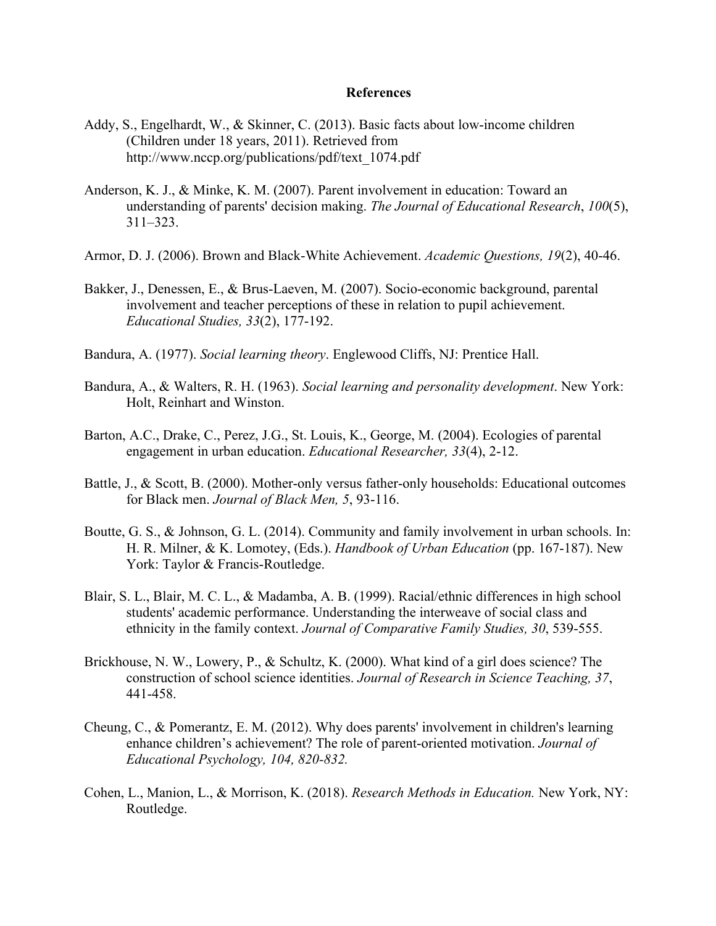#### **References**

- Addy, S., Engelhardt, W., & Skinner, C. (2013). Basic facts about low-income children (Children under 18 years, 2011). Retrieved from http://www.nccp.org/publications/pdf/text\_1074.pdf
- Anderson, K. J., & Minke, K. M. (2007). Parent involvement in education: Toward an understanding of parents' decision making. *The Journal of Educational Research*, *100*(5), 311–323.
- Armor, D. J. (2006). Brown and Black-White Achievement. *Academic Questions, 19*(2), 40-46.
- Bakker, J., Denessen, E., & Brus-Laeven, M. (2007). Socio-economic background, parental involvement and teacher perceptions of these in relation to pupil achievement. *Educational Studies, 33*(2), 177-192.
- Bandura, A. (1977). *Social learning theory*. Englewood Cliffs, NJ: Prentice Hall.
- Bandura, A., & Walters, R. H. (1963). *Social learning and personality development*. New York: Holt, Reinhart and Winston.
- Barton, A.C., Drake, C., Perez, J.G., St. Louis, K., George, M. (2004). Ecologies of parental engagement in urban education. *Educational Researcher, 33*(4), 2-12.
- Battle, J., & Scott, B. (2000). Mother-only versus father-only households: Educational outcomes for Black men. *Journal of Black Men, 5*, 93-116.
- Boutte, G. S., & Johnson, G. L. (2014). Community and family involvement in urban schools. In: H. R. Milner, & K. Lomotey, (Eds.). *Handbook of Urban Education* (pp. 167-187). New York: Taylor & Francis-Routledge.
- Blair, S. L., Blair, M. C. L., & Madamba, A. B. (1999). Racial/ethnic differences in high school students' academic performance. Understanding the interweave of social class and ethnicity in the family context. *Journal of Comparative Family Studies, 30*, 539-555.
- Brickhouse, N. W., Lowery, P., & Schultz, K. (2000). What kind of a girl does science? The construction of school science identities. *Journal of Research in Science Teaching, 37*, 441-458.
- Cheung, C., & Pomerantz, E. M. (2012). Why does parents' involvement in children's learning enhance children's achievement? The role of parent-oriented motivation. *Journal of Educational Psychology, 104, 820-832.*
- Cohen, L., Manion, L., & Morrison, K. (2018). *Research Methods in Education.* New York, NY: Routledge.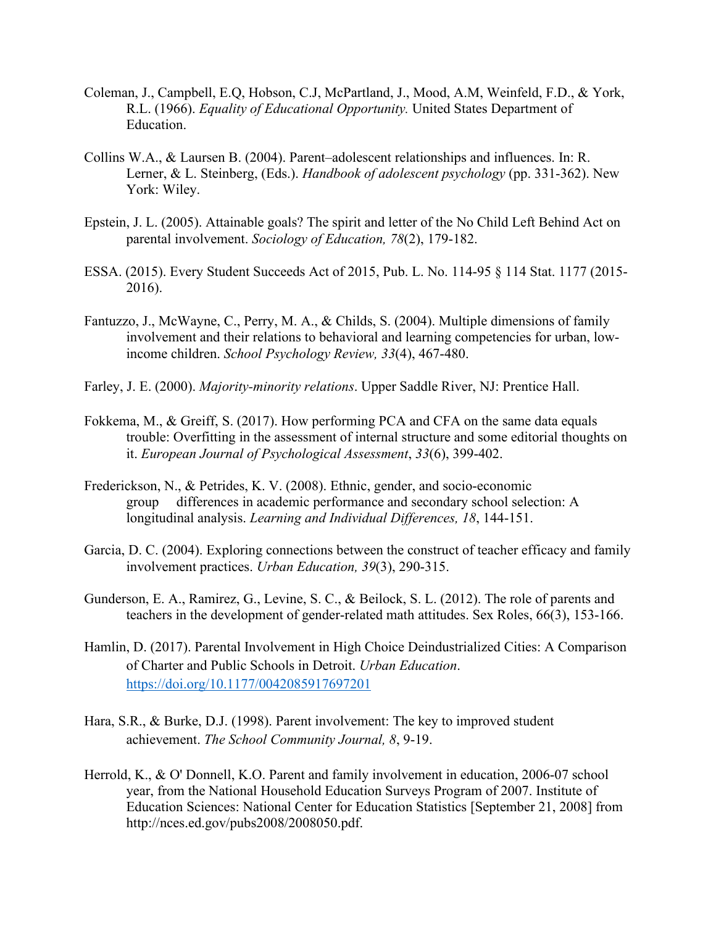- Coleman, J., Campbell, E.Q, Hobson, C.J, McPartland, J., Mood, A.M, Weinfeld, F.D., & York, R.L. (1966). *Equality of Educational Opportunity.* United States Department of Education.
- Collins W.A., & Laursen B. (2004). Parent–adolescent relationships and influences. In: R. Lerner, & L. Steinberg, (Eds.). *Handbook of adolescent psychology* (pp. 331-362). New York: Wiley.
- Epstein, J. L. (2005). Attainable goals? The spirit and letter of the No Child Left Behind Act on parental involvement. *Sociology of Education, 78*(2), 179-182.
- ESSA. (2015). Every Student Succeeds Act of 2015, Pub. L. No. 114-95 § 114 Stat. 1177 (2015- 2016).
- Fantuzzo, J., McWayne, C., Perry, M. A., & Childs, S. (2004). Multiple dimensions of family involvement and their relations to behavioral and learning competencies for urban, lowincome children. *School Psychology Review, 33*(4), 467-480.
- Farley, J. E. (2000). *Majority-minority relations*. Upper Saddle River, NJ: Prentice Hall.
- Fokkema, M., & Greiff, S. (2017). How performing PCA and CFA on the same data equals trouble: Overfitting in the assessment of internal structure and some editorial thoughts on it. *European Journal of Psychological Assessment*, *33*(6), 399-402.
- Frederickson, N., & Petrides, K. V. (2008). Ethnic, gender, and socio-economic group differences in academic performance and secondary school selection: A longitudinal analysis. *Learning and Individual Differences, 18*, 144-151.
- Garcia, D. C. (2004). Exploring connections between the construct of teacher efficacy and family involvement practices. *Urban Education, 39*(3), 290-315.
- Gunderson, E. A., Ramirez, G., Levine, S. C., & Beilock, S. L. (2012). The role of parents and teachers in the development of gender-related math attitudes. Sex Roles, 66(3), 153-166.
- Hamlin, D. (2017). Parental Involvement in High Choice Deindustrialized Cities: A Comparison of Charter and Public Schools in Detroit. *Urban Education*. <https://doi.org/10.1177/0042085917697201>
- Hara, S.R., & Burke, D.J. (1998). Parent involvement: The key to improved student achievement. *The School Community Journal, 8*, 9-19.
- Herrold, K., & O' Donnell, K.O. Parent and family involvement in education, 2006-07 school year, from the National Household Education Surveys Program of 2007. Institute of Education Sciences: National Center for Education Statistics [September 21, 2008] fro[m](http://nces.ed.gov/pubs2008/2008050.pdf) [http://nces.ed.gov/pubs2008/2008050.pdf.](http://nces.ed.gov/pubs2008/2008050.pdf)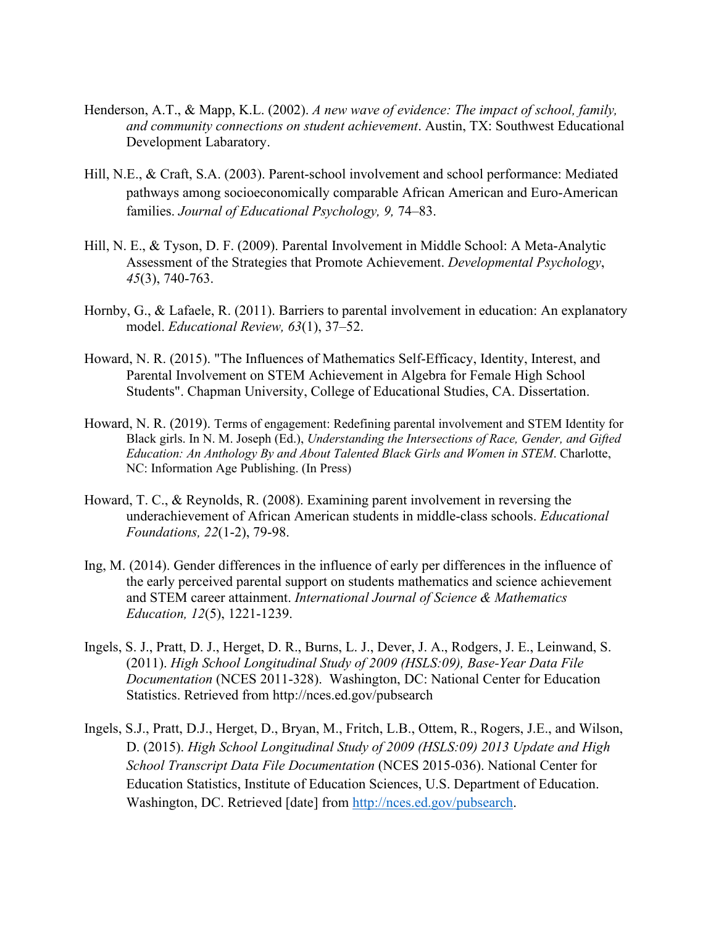- Henderson, A.T., & Mapp, K.L. (2002). *A new wave of evidence: The impact of school, family, and community connections on student achievement*. Austin, TX: Southwest Educational Development Labaratory.
- Hill, N.E., & Craft, S.A. (2003). Parent-school involvement and school performance: Mediated pathways among socioeconomically comparable African American and Euro-American families. *Journal of Educational Psychology, 9,* 74–83.
- Hill, N. E., & Tyson, D. F. (2009). Parental Involvement in Middle School: A Meta-Analytic Assessment of the Strategies that Promote Achievement. *Developmental Psychology*, *45*(3), 740-763.
- Hornby, G., & Lafaele, R. (2011). Barriers to parental involvement in education: An explanatory model. *Educational Review, 63*(1), 37–52.
- Howard, N. R. (2015). "The Influences of Mathematics Self-Efficacy, Identity, Interest, and Parental Involvement on STEM Achievement in Algebra for Female High School Students". Chapman University, College of Educational Studies, CA. Dissertation.
- Howard, N. R. (2019). Terms of engagement: Redefining parental involvement and STEM Identity for Black girls. In N. M. Joseph (Ed.), *Understanding the Intersections of Race, Gender, and Gifted Education: An Anthology By and About Talented Black Girls and Women in STEM*. Charlotte, NC: Information Age Publishing. (In Press)
- Howard, T. C., & Reynolds, R. (2008). Examining parent involvement in reversing the underachievement of African American students in middle-class schools. *Educational Foundations, 22*(1-2), 79-98.
- Ing, M. (2014). Gender differences in the influence of early per differences in the influence of the early perceived parental support on students mathematics and science achievement and STEM career attainment. *International Journal of Science & Mathematics Education, 12*(5), 1221-1239.
- Ingels, S. J., Pratt, D. J., Herget, D. R., Burns, L. J., Dever, J. A., Rodgers, J. E., Leinwand, S. (2011). *High School Longitudinal Study of 2009 (HSLS:09), Base-Year Data File Documentation* (NCES 2011-328). Washington, DC: National Center for Education Statistics. Retrieved from http://nces.ed.gov/pubsearch
- Ingels, S.J., Pratt, D.J., Herget, D., Bryan, M., Fritch, L.B., Ottem, R., Rogers, J.E., and Wilson, D. (2015). *High School Longitudinal Study of 2009 (HSLS:09) 2013 Update and High School Transcript Data File Documentation* (NCES 2015-036). National Center for Education Statistics, Institute of Education Sciences, U.S. Department of Education. Washington, DC. Retrieved [date] from [http://nces.ed.gov/pubsearch.](http://nces.ed.gov/pubsearch)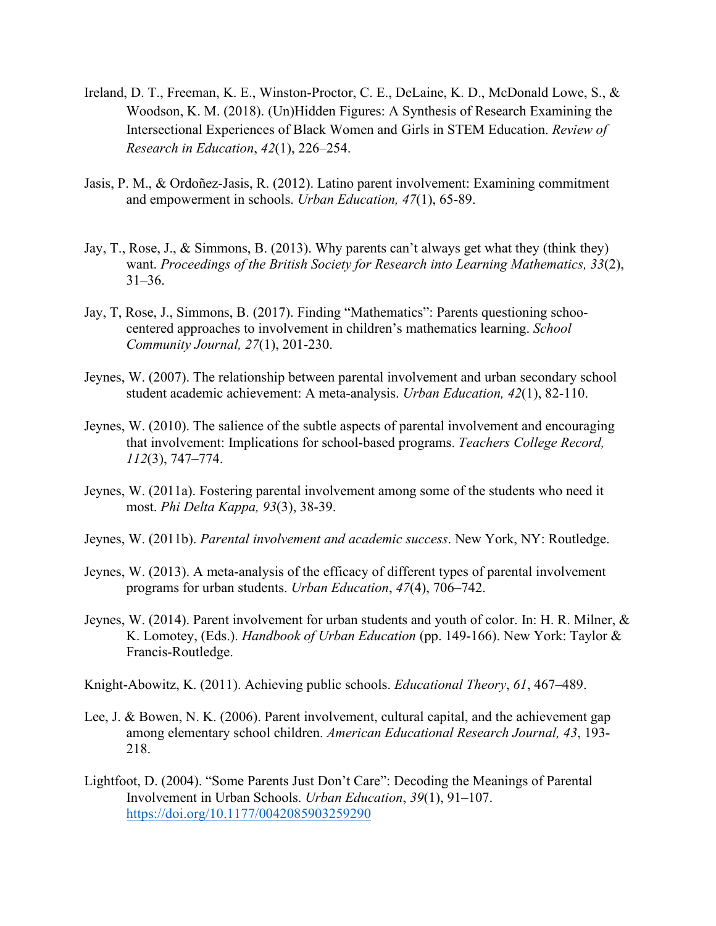- Ireland, D. T., Freeman, K. E., Winston-Proctor, C. E., DeLaine, K. D., McDonald Lowe, S., & Woodson, K. M. (2018). (Un)Hidden Figures: A Synthesis of Research Examining the Intersectional Experiences of Black Women and Girls in STEM Education. *Review of Research in Education*, *42*(1), 226–254.
- Jasis, P. M., & Ordoñez-Jasis, R. (2012). Latino parent involvement: Examining commitment and empowerment in schools. *Urban Education, 47*(1), 65-89.
- Jay, T., Rose, J., & Simmons, B. (2013). Why parents can't always get what they (think they) want. *Proceedings of the British Society for Research into Learning Mathematics, 33*(2), 31–36.
- Jay, T, Rose, J., Simmons, B. (2017). Finding "Mathematics": Parents questioning schoocentered approaches to involvement in children's mathematics learning. *School Community Journal, 27*(1), 201-230.
- Jeynes, W. (2007). The relationship between parental involvement and urban secondary school student academic achievement: A meta-analysis. *Urban Education, 42*(1), 82-110.
- Jeynes, W. (2010). The salience of the subtle aspects of parental involvement and encouraging that involvement: Implications for school-based programs. *Teachers College Record, 112*(3), 747–774.
- Jeynes, W. (2011a). Fostering parental involvement among some of the students who need it most. *Phi Delta Kappa, 93*(3), 38-39.
- Jeynes, W. (2011b). *Parental involvement and academic success*. New York, NY: Routledge.
- Jeynes, W. (2013). A meta-analysis of the efficacy of different types of parental involvement programs for urban students. *Urban Education*, *47*(4), 706–742.
- Jeynes, W. (2014). Parent involvement for urban students and youth of color. In: H. R. Milner, & K. Lomotey, (Eds.). *Handbook of Urban Education* (pp. 149-166). New York: Taylor & Francis-Routledge.
- Knight-Abowitz, K. (2011). Achieving public schools. *Educational Theory*, *61*, 467–489.
- Lee, J. & Bowen, N. K. (2006). Parent involvement, cultural capital, and the achievement gap among elementary school children. *American Educational Research Journal, 43*, 193- 218.
- Lightfoot, D. (2004). "Some Parents Just Don't Care": Decoding the Meanings of Parental Involvement in Urban Schools. *Urban Education*, *39*(1), 91–107. <https://doi.org/10.1177/0042085903259290>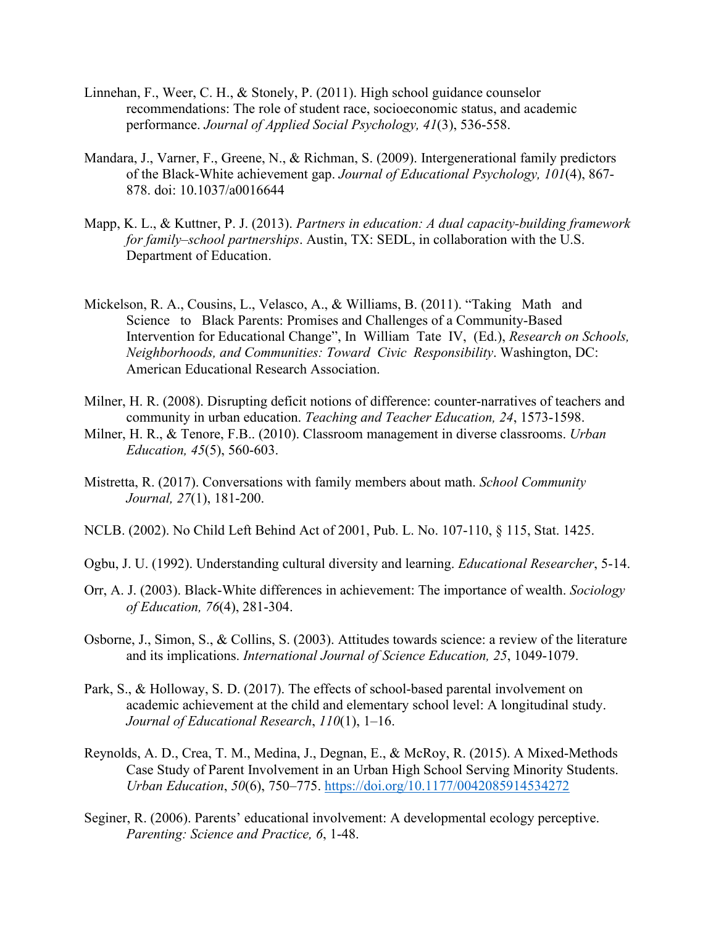- Linnehan, F., Weer, C. H., & Stonely, P. (2011). High school guidance counselor recommendations: The role of student race, socioeconomic status, and academic performance. *Journal of Applied Social Psychology, 41*(3), 536-558.
- Mandara, J., Varner, F., Greene, N., & Richman, S. (2009). Intergenerational family predictors of the Black-White achievement gap. *Journal of Educational Psychology, 101*(4), 867- 878. doi: 10.1037/a0016644
- Mapp, K. L., & Kuttner, P. J. (2013). *Partners in education: A dual capacity-building framework for family–school partnerships*. Austin, TX: SEDL, in collaboration with the U.S. Department of Education.
- Mickelson, R. A., Cousins, L., Velasco, A., & Williams, B. (2011). "Taking Math and Science to Black Parents: Promises and Challenges of a Community-Based Intervention for Educational Change", In William Tate IV, (Ed.), *Research on Schools, Neighborhoods, and Communities: Toward Civic Responsibility*. Washington, DC: American Educational Research Association.
- Milner, H. R. (2008). Disrupting deficit notions of difference: counter-narratives of teachers and community in urban education. *Teaching and Teacher Education, 24*, 1573-1598.
- Milner, H. R., & Tenore, F.B.. (2010). Classroom management in diverse classrooms. *Urban Education, 45*(5), 560-603.
- Mistretta, R. (2017). Conversations with family members about math. *School Community Journal, 27*(1), 181-200.
- NCLB. (2002). No Child Left Behind Act of 2001, Pub. L. No. 107-110, § 115, Stat. 1425.
- Ogbu, J. U. (1992). Understanding cultural diversity and learning. *Educational Researcher*, 5-14.
- Orr, A. J. (2003). Black-White differences in achievement: The importance of wealth. *Sociology of Education, 76*(4), 281-304.
- Osborne, J., Simon, S., & Collins, S. (2003). Attitudes towards science: a review of the literature and its implications. *International Journal of Science Education, 25*, 1049-1079.
- Park, S., & Holloway, S. D. (2017). The effects of school-based parental involvement on academic achievement at the child and elementary school level: A longitudinal study. *Journal of Educational Research*, *110*(1), 1–16.
- Reynolds, A. D., Crea, T. M., Medina, J., Degnan, E., & McRoy, R. (2015). A Mixed-Methods Case Study of Parent Involvement in an Urban High School Serving Minority Students. *Urban Education*, *50*(6), 750–775.<https://doi.org/10.1177/0042085914534272>
- Seginer, R. (2006). Parents' educational involvement: A developmental ecology perceptive. *Parenting: Science and Practice, 6*, 1-48.